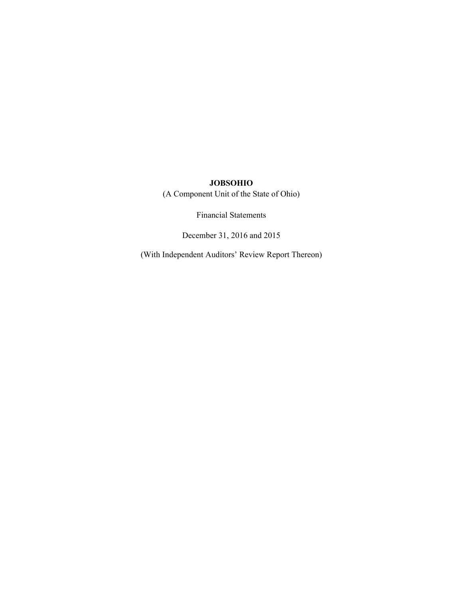(A Component Unit of the State of Ohio)

Financial Statements

December 31, 2016 and 2015

(With Independent Auditors' Review Report Thereon)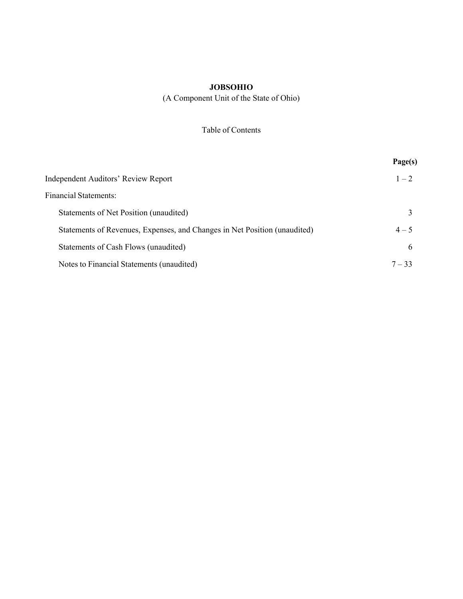(A Component Unit of the State of Ohio)

# Table of Contents

|                                                                           | Page(s)      |
|---------------------------------------------------------------------------|--------------|
| Independent Auditors' Review Report                                       | $1 - 2$      |
| <b>Financial Statements:</b>                                              |              |
| Statements of Net Position (unaudited)                                    |              |
| Statements of Revenues, Expenses, and Changes in Net Position (unaudited) | $4 - 5$      |
| Statements of Cash Flows (unaudited)                                      | $\mathbf{b}$ |
| Notes to Financial Statements (unaudited)                                 | $7 - 33$     |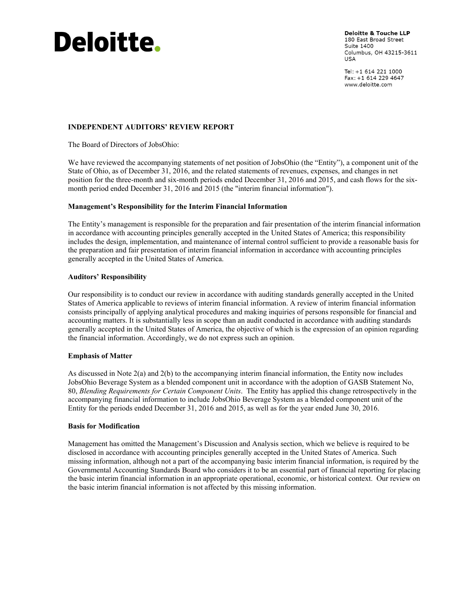# **Deloitte.**

**Deloitte & Touche LLP** 180 East Broad Street Suite 1400 Columbus, OH 43215-3611 USA

Tel: +1 614 221 1000 Fax: +1 614 229 4647 www.deloitte.com

## **INDEPENDENT AUDITORS' REVIEW REPORT**

The Board of Directors of JobsOhio:

We have reviewed the accompanying statements of net position of JobsOhio (the "Entity"), a component unit of the State of Ohio, as of December 31, 2016, and the related statements of revenues, expenses, and changes in net position for the three-month and six-month periods ended December 31, 2016 and 2015, and cash flows for the sixmonth period ended December 31, 2016 and 2015 (the "interim financial information").

#### **Management's Responsibility for the Interim Financial Information**

The Entity's management is responsible for the preparation and fair presentation of the interim financial information in accordance with accounting principles generally accepted in the United States of America; this responsibility includes the design, implementation, and maintenance of internal control sufficient to provide a reasonable basis for the preparation and fair presentation of interim financial information in accordance with accounting principles generally accepted in the United States of America.

#### **Auditors' Responsibility**

Our responsibility is to conduct our review in accordance with auditing standards generally accepted in the United States of America applicable to reviews of interim financial information. A review of interim financial information consists principally of applying analytical procedures and making inquiries of persons responsible for financial and accounting matters. It is substantially less in scope than an audit conducted in accordance with auditing standards generally accepted in the United States of America, the objective of which is the expression of an opinion regarding the financial information. Accordingly, we do not express such an opinion.

#### **Emphasis of Matter**

As discussed in Note 2(a) and 2(b) to the accompanying interim financial information, the Entity now includes JobsOhio Beverage System as a blended component unit in accordance with the adoption of GASB Statement No, 80, *Blending Requirements for Certain Component Units*. The Entity has applied this change retrospectively in the accompanying financial information to include JobsOhio Beverage System as a blended component unit of the Entity for the periods ended December 31, 2016 and 2015, as well as for the year ended June 30, 2016.

#### **Basis for Modification**

Management has omitted the Management's Discussion and Analysis section, which we believe is required to be disclosed in accordance with accounting principles generally accepted in the United States of America. Such missing information, although not a part of the accompanying basic interim financial information, is required by the Governmental Accounting Standards Board who considers it to be an essential part of financial reporting for placing the basic interim financial information in an appropriate operational, economic, or historical context. Our review on the basic interim financial information is not affected by this missing information.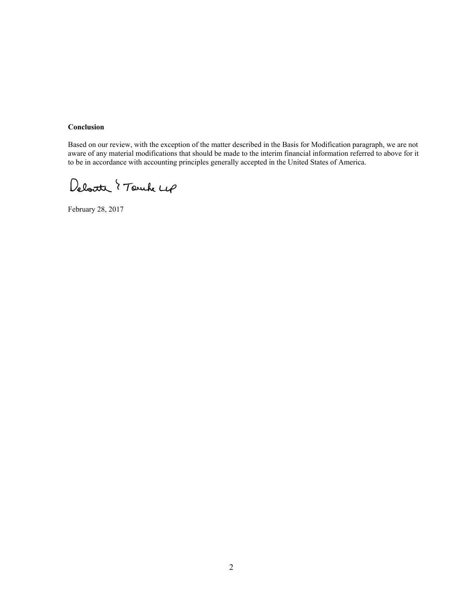## **Conclusion**

Based on our review, with the exception of the matter described in the Basis for Modification paragraph, we are not aware of any material modifications that should be made to the interim financial information referred to above for it to be in accordance with accounting principles generally accepted in the United States of America.

Deloite { Touch Lep

February 28, 2017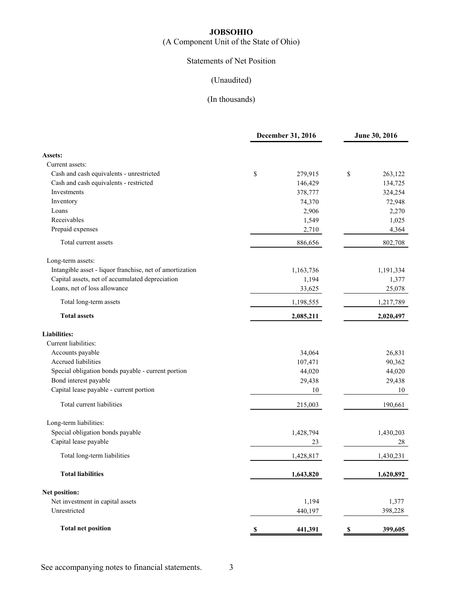(A Component Unit of the State of Ohio)

# Statements of Net Position

# (Unaudited)

|                                                          | December 31, 2016             | June 30, 2016 |  |  |
|----------------------------------------------------------|-------------------------------|---------------|--|--|
| Assets:                                                  |                               |               |  |  |
| Current assets:                                          |                               |               |  |  |
| Cash and cash equivalents - unrestricted                 | \$<br>279,915                 | \$<br>263,122 |  |  |
| Cash and cash equivalents - restricted                   | 146,429                       | 134,725       |  |  |
| Investments                                              | 378,777                       | 324,254       |  |  |
| Inventory                                                | 74,370                        | 72,948        |  |  |
| Loans                                                    | 2,906                         | 2,270         |  |  |
| Receivables                                              | 1,549                         | 1,025         |  |  |
| Prepaid expenses                                         | 2,710                         | 4,364         |  |  |
| Total current assets                                     | 886,656                       | 802,708       |  |  |
| Long-term assets:                                        |                               |               |  |  |
| Intangible asset - liquor franchise, net of amortization | 1,163,736                     | 1,191,334     |  |  |
| Capital assets, net of accumulated depreciation          | 1,194                         | 1,377         |  |  |
| Loans, net of loss allowance                             | 33,625                        | 25,078        |  |  |
| Total long-term assets                                   | 1,198,555                     | 1,217,789     |  |  |
| <b>Total assets</b>                                      | 2,085,211                     | 2,020,497     |  |  |
| <b>Liabilities:</b>                                      |                               |               |  |  |
| Current liabilities:                                     |                               |               |  |  |
| Accounts payable                                         | 34,064                        | 26,831        |  |  |
| Accrued liabilities                                      | 107,471                       | 90,362        |  |  |
| Special obligation bonds payable - current portion       | 44,020                        | 44,020        |  |  |
| Bond interest payable                                    | 29,438                        | 29,438        |  |  |
| Capital lease payable - current portion                  | 10                            | 10            |  |  |
| Total current liabilities                                | 215,003                       | 190,661       |  |  |
| Long-term liabilities:                                   |                               |               |  |  |
| Special obligation bonds payable                         | 1,428,794                     | 1,430,203     |  |  |
| Capital lease payable                                    | 23                            | 28            |  |  |
| Total long-term liabilities                              | 1,428,817                     | 1,430,231     |  |  |
| <b>Total liabilities</b>                                 | 1,643,820                     | 1,620,892     |  |  |
| Net position:                                            |                               |               |  |  |
| Net investment in capital assets                         | 1,194                         | 1,377         |  |  |
| Unrestricted                                             | 440,197                       | 398,228       |  |  |
| <b>Total net position</b>                                | 441,391<br>$\pmb{\mathbb{S}}$ | 399,605<br>\$ |  |  |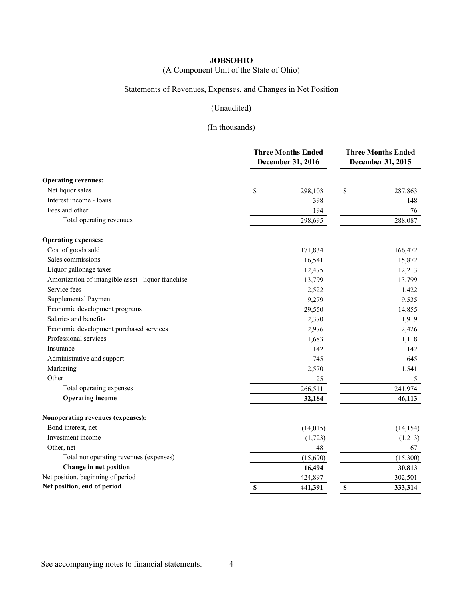(A Component Unit of the State of Ohio)

# Statements of Revenues, Expenses, and Changes in Net Position

# (Unaudited)

|                                                     | <b>Three Months Ended</b><br>December 31, 2016 | <b>Three Months Ended</b><br>December 31, 2015 |           |  |
|-----------------------------------------------------|------------------------------------------------|------------------------------------------------|-----------|--|
| <b>Operating revenues:</b>                          |                                                |                                                |           |  |
| Net liquor sales                                    | \$<br>298,103                                  | \$                                             | 287,863   |  |
| Interest income - loans                             | 398                                            |                                                | 148       |  |
| Fees and other                                      | 194                                            |                                                | 76        |  |
| Total operating revenues                            | 298,695                                        |                                                | 288,087   |  |
| <b>Operating expenses:</b>                          |                                                |                                                |           |  |
| Cost of goods sold                                  | 171,834                                        |                                                | 166,472   |  |
| Sales commissions                                   | 16,541                                         |                                                | 15,872    |  |
| Liquor gallonage taxes                              | 12,475                                         |                                                | 12,213    |  |
| Amortization of intangible asset - liquor franchise | 13,799                                         |                                                | 13,799    |  |
| Service fees                                        | 2,522                                          |                                                | 1,422     |  |
| Supplemental Payment                                | 9,279                                          |                                                | 9,535     |  |
| Economic development programs                       | 29,550                                         |                                                | 14,855    |  |
| Salaries and benefits                               | 2,370                                          |                                                | 1,919     |  |
| Economic development purchased services             | 2,976                                          |                                                | 2,426     |  |
| Professional services                               | 1,683                                          |                                                | 1,118     |  |
| Insurance                                           | 142                                            |                                                | 142       |  |
| Administrative and support                          | 745                                            |                                                | 645       |  |
| Marketing                                           | 2,570                                          |                                                | 1,541     |  |
| Other                                               | 25                                             |                                                | 15        |  |
| Total operating expenses                            | 266,511                                        |                                                | 241,974   |  |
| <b>Operating income</b>                             | 32,184                                         |                                                | 46,113    |  |
| Nonoperating revenues (expenses):                   |                                                |                                                |           |  |
| Bond interest, net                                  | (14, 015)                                      |                                                | (14, 154) |  |
| Investment income                                   | (1, 723)                                       |                                                | (1,213)   |  |
| Other, net                                          | 48                                             |                                                | 67        |  |
| Total nonoperating revenues (expenses)              | (15,690)                                       |                                                | (15,300)  |  |
| Change in net position                              | 16,494                                         |                                                | 30,813    |  |
| Net position, beginning of period                   | 424,897                                        |                                                | 302,501   |  |
| Net position, end of period                         | \$<br>441,391                                  | \$                                             | 333,314   |  |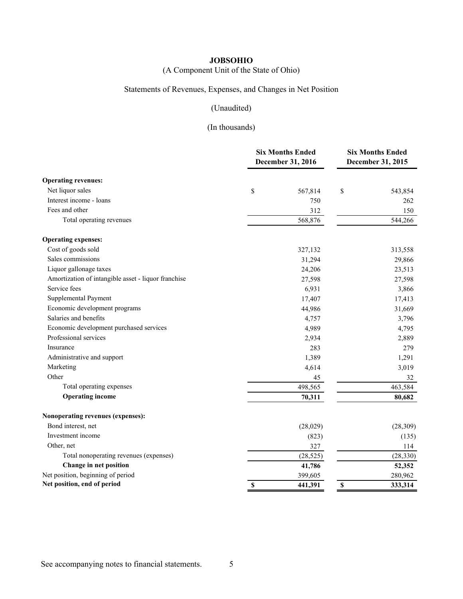(A Component Unit of the State of Ohio)

# Statements of Revenues, Expenses, and Changes in Net Position

# (Unaudited)

|                                                     | <b>Six Months Ended</b><br>December 31, 2016 | <b>Six Months Ended</b><br>December 31, 2015 |           |  |
|-----------------------------------------------------|----------------------------------------------|----------------------------------------------|-----------|--|
| <b>Operating revenues:</b>                          |                                              |                                              |           |  |
| Net liquor sales                                    | \$<br>567,814                                | \$                                           | 543,854   |  |
| Interest income - loans                             | 750                                          |                                              | 262       |  |
| Fees and other                                      | 312                                          |                                              | 150       |  |
| Total operating revenues                            | 568,876                                      |                                              | 544,266   |  |
| <b>Operating expenses:</b>                          |                                              |                                              |           |  |
| Cost of goods sold                                  | 327,132                                      |                                              | 313,558   |  |
| Sales commissions                                   | 31,294                                       |                                              | 29,866    |  |
| Liquor gallonage taxes                              | 24,206                                       |                                              | 23,513    |  |
| Amortization of intangible asset - liquor franchise | 27,598                                       |                                              | 27,598    |  |
| Service fees                                        | 6,931                                        |                                              | 3,866     |  |
| Supplemental Payment                                | 17,407                                       |                                              | 17,413    |  |
| Economic development programs                       | 44,986                                       |                                              | 31,669    |  |
| Salaries and benefits                               | 4,757                                        |                                              | 3,796     |  |
| Economic development purchased services             | 4,989                                        |                                              | 4,795     |  |
| Professional services                               | 2,934                                        |                                              | 2,889     |  |
| Insurance                                           | 283                                          |                                              | 279       |  |
| Administrative and support                          | 1,389                                        |                                              | 1,291     |  |
| Marketing                                           | 4,614                                        |                                              | 3,019     |  |
| Other                                               | 45                                           |                                              | 32        |  |
| Total operating expenses                            | 498,565                                      |                                              | 463,584   |  |
| <b>Operating income</b>                             | 70,311                                       |                                              | 80,682    |  |
| Nonoperating revenues (expenses):                   |                                              |                                              |           |  |
| Bond interest, net                                  | (28,029)                                     |                                              | (28, 309) |  |
| Investment income                                   | (823)                                        |                                              | (135)     |  |
| Other, net                                          | 327                                          |                                              | 114       |  |
| Total nonoperating revenues (expenses)              | (28, 525)                                    |                                              | (28, 330) |  |
| Change in net position                              | 41,786                                       |                                              | 52,352    |  |
| Net position, beginning of period                   | 399,605                                      |                                              | 280,962   |  |
| Net position, end of period                         | \$<br>441,391                                | \$                                           | 333,314   |  |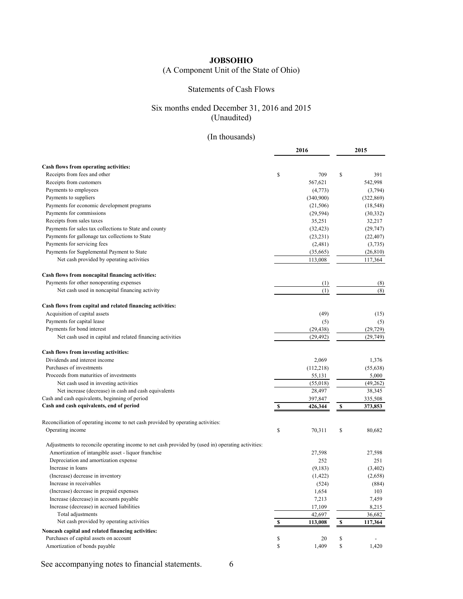# (A Component Unit of the State of Ohio)

## Statements of Cash Flows

## Six months ended December 31, 2016 and 2015 (Unaudited)

# (In thousands)

|                                                                                                   | 2016              |           |           | 2015       |
|---------------------------------------------------------------------------------------------------|-------------------|-----------|-----------|------------|
|                                                                                                   |                   |           |           |            |
| Cash flows from operating activities:                                                             |                   |           |           |            |
| Receipts from fees and other                                                                      | \$                | 709       | \$        | 391        |
| Receipts from customers                                                                           |                   | 567,621   |           | 542,998    |
| Payments to employees                                                                             |                   | (4,773)   |           | (3,794)    |
| Payments to suppliers                                                                             |                   | (340,900) |           | (322, 869) |
| Payments for economic development programs                                                        |                   | (21, 506) |           | (18, 548)  |
| Payments for commissions                                                                          |                   | (29, 594) |           | (30, 332)  |
| Receipts from sales taxes                                                                         |                   | 35,251    |           | 32,217     |
| Payments for sales tax collections to State and county                                            |                   | (32, 423) |           | (29, 747)  |
| Payments for gallonage tax collections to State                                                   |                   | (23, 231) |           | (22, 407)  |
| Payments for servicing fees                                                                       |                   | (2,481)   |           | (3,735)    |
| Payments for Supplemental Payment to State                                                        |                   | (35, 665) |           | (26, 810)  |
| Net cash provided by operating activities                                                         |                   | 113,008   |           | 117,364    |
| Cash flows from noncapital financing activities:                                                  |                   |           |           |            |
| Payments for other nonoperating expenses                                                          |                   | (1)       |           | (8)        |
| Net cash used in noncapital financing activity                                                    |                   | (1)       |           | (8)        |
| Cash flows from capital and related financing activities:                                         |                   |           |           |            |
| Acquisition of capital assets                                                                     |                   | (49)      |           | (15)       |
| Payments for capital lease                                                                        |                   | (5)       |           | (5)        |
| Payments for bond interest                                                                        |                   | (29, 438) |           | (29, 729)  |
| Net cash used in capital and related financing activities                                         |                   | (29, 492) |           | (29,749)   |
| Cash flows from investing activities:                                                             |                   |           |           |            |
| Dividends and interest income                                                                     |                   | 2,069     |           | 1,376      |
| Purchases of investments                                                                          |                   | (112,218) |           | (55, 638)  |
| Proceeds from maturities of investments                                                           |                   | 55,131    |           | 5,000      |
| Net cash used in investing activities                                                             |                   | (55,018)  |           | (49,262)   |
| Net increase (decrease) in cash and cash equivalents                                              |                   | 28,497    |           | 38,345     |
| Cash and cash equivalents, beginning of period                                                    |                   | 397,847   |           | 335,508    |
| Cash and cash equivalents, end of period                                                          | \$                | 426,344   | \$        | 373,853    |
| Reconciliation of operating income to net cash provided by operating activities:                  |                   |           |           |            |
| Operating income                                                                                  | \$                | 70,311    | \$        | 80,682     |
| Adjustments to reconcile operating income to net cash provided by (used in) operating activities: |                   |           |           |            |
| Amortization of intangible asset - liquor franchise                                               |                   | 27,598    |           | 27,598     |
| Depreciation and amortization expense                                                             |                   | 252       |           | 251        |
| Increase in loans                                                                                 |                   | (9,183)   |           | (3,402)    |
| (Increase) decrease in inventory                                                                  |                   | (1, 422)  |           | (2,658)    |
| Increase in receivables                                                                           |                   | (524)     |           | (884)      |
| (Increase) decrease in prepaid expenses                                                           |                   | 1,654     |           | 103        |
| Increase (decrease) in accounts payable                                                           |                   | 7,213     |           | 7,459      |
| Increase (decrease) in accrued liabilities                                                        |                   | 17,109    |           | 8,215      |
| Total adjustments                                                                                 |                   | 42,697    |           | 36,682     |
| Net cash provided by operating activities                                                         | $\boldsymbol{\$}$ | 113,008   | ${\bf S}$ | 117,364    |
| Noncash capital and related financing activities:                                                 |                   |           |           |            |
| Purchases of capital assets on account                                                            | \$                | 20        | \$        |            |
| Amortization of bonds payable                                                                     | \$                | 1,409     | \$        | 1,420      |

See accompanying notes to financial statements. 6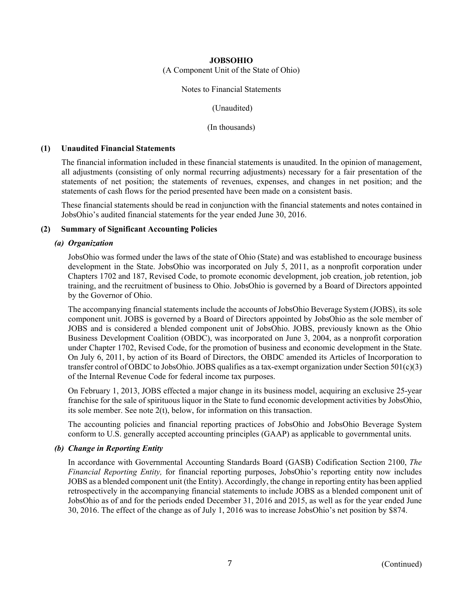(A Component Unit of the State of Ohio)

#### Notes to Financial Statements

(Unaudited)

(In thousands)

#### **(1) Unaudited Financial Statements**

The financial information included in these financial statements is unaudited. In the opinion of management, all adjustments (consisting of only normal recurring adjustments) necessary for a fair presentation of the statements of net position; the statements of revenues, expenses, and changes in net position; and the statements of cash flows for the period presented have been made on a consistent basis.

These financial statements should be read in conjunction with the financial statements and notes contained in JobsOhio's audited financial statements for the year ended June 30, 2016.

#### **(2) Summary of Significant Accounting Policies**

#### *(a) Organization*

JobsOhio was formed under the laws of the state of Ohio (State) and was established to encourage business development in the State. JobsOhio was incorporated on July 5, 2011, as a nonprofit corporation under Chapters 1702 and 187, Revised Code, to promote economic development, job creation, job retention, job training, and the recruitment of business to Ohio. JobsOhio is governed by a Board of Directors appointed by the Governor of Ohio.

The accompanying financial statements include the accounts of JobsOhio Beverage System (JOBS), its sole component unit. JOBS is governed by a Board of Directors appointed by JobsOhio as the sole member of JOBS and is considered a blended component unit of JobsOhio. JOBS, previously known as the Ohio Business Development Coalition (OBDC), was incorporated on June 3, 2004, as a nonprofit corporation under Chapter 1702, Revised Code, for the promotion of business and economic development in the State. On July 6, 2011, by action of its Board of Directors, the OBDC amended its Articles of Incorporation to transfer control of OBDC to JobsOhio. JOBS qualifies as a tax-exempt organization under Section 501(c)(3) of the Internal Revenue Code for federal income tax purposes.

On February 1, 2013, JOBS effected a major change in its business model, acquiring an exclusive 25-year franchise for the sale of spirituous liquor in the State to fund economic development activities by JobsOhio, its sole member. See note 2(t), below, for information on this transaction.

The accounting policies and financial reporting practices of JobsOhio and JobsOhio Beverage System conform to U.S. generally accepted accounting principles (GAAP) as applicable to governmental units.

#### *(b) Change in Reporting Entity*

In accordance with Governmental Accounting Standards Board (GASB) Codification Section 2100, *The Financial Reporting Entity,* for financial reporting purposes, JobsOhio's reporting entity now includes JOBS as a blended component unit (the Entity). Accordingly, the change in reporting entity has been applied retrospectively in the accompanying financial statements to include JOBS as a blended component unit of JobsOhio as of and for the periods ended December 31, 2016 and 2015, as well as for the year ended June 30, 2016. The effect of the change as of July 1, 2016 was to increase JobsOhio's net position by \$874.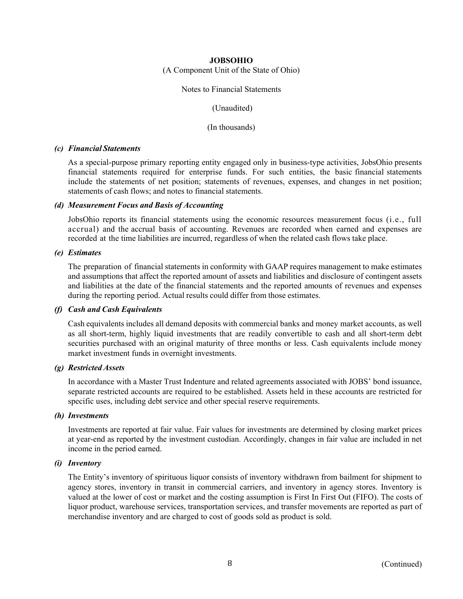(A Component Unit of the State of Ohio)

#### Notes to Financial Statements

(Unaudited)

(In thousands)

#### *(c) Financial Statements*

As a special-purpose primary reporting entity engaged only in business-type activities, JobsOhio presents financial statements required for enterprise funds. For such entities, the basic financial statements include the statements of net position; statements of revenues, expenses, and changes in net position; statements of cash flows; and notes to financial statements.

#### *(d) Measurement Focus and Basis of Accounting*

JobsOhio reports its financial statements using the economic resources measurement focus (i.e., full accrual) and the accrual basis of accounting. Revenues are recorded when earned and expenses are recorded at the time liabilities are incurred, regardless of when the related cash flows take place.

#### *(e) Estimates*

The preparation of financial statements in conformity with GAAP requires management to make estimates and assumptions that affect the reported amount of assets and liabilities and disclosure of contingent assets and liabilities at the date of the financial statements and the reported amounts of revenues and expenses during the reporting period. Actual results could differ from those estimates.

#### *(f) Cash and Cash Equivalents*

Cash equivalents includes all demand deposits with commercial banks and money market accounts, as well as all short-term, highly liquid investments that are readily convertible to cash and all short-term debt securities purchased with an original maturity of three months or less. Cash equivalents include money market investment funds in overnight investments.

#### *(g) Restricted Assets*

In accordance with a Master Trust Indenture and related agreements associated with JOBS' bond issuance, separate restricted accounts are required to be established. Assets held in these accounts are restricted for specific uses, including debt service and other special reserve requirements.

#### *(h) Investments*

Investments are reported at fair value. Fair values for investments are determined by closing market prices at year-end as reported by the investment custodian. Accordingly, changes in fair value are included in net income in the period earned.

#### *(i) Inventory*

The Entity's inventory of spirituous liquor consists of inventory withdrawn from bailment for shipment to agency stores, inventory in transit in commercial carriers, and inventory in agency stores. Inventory is valued at the lower of cost or market and the costing assumption is First In First Out (FIFO). The costs of liquor product, warehouse services, transportation services, and transfer movements are reported as part of merchandise inventory and are charged to cost of goods sold as product is sold.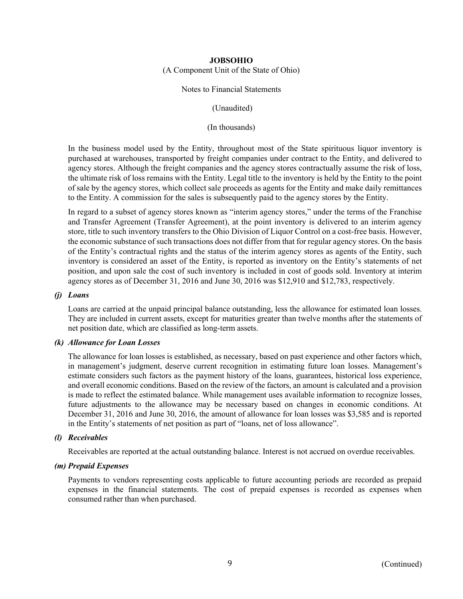(A Component Unit of the State of Ohio)

#### Notes to Financial Statements

(Unaudited)

(In thousands)

In the business model used by the Entity, throughout most of the State spirituous liquor inventory is purchased at warehouses, transported by freight companies under contract to the Entity, and delivered to agency stores. Although the freight companies and the agency stores contractually assume the risk of loss, the ultimate risk of loss remains with the Entity. Legal title to the inventory is held by the Entity to the point of sale by the agency stores, which collect sale proceeds as agents for the Entity and make daily remittances to the Entity. A commission for the sales is subsequently paid to the agency stores by the Entity.

In regard to a subset of agency stores known as "interim agency stores," under the terms of the Franchise and Transfer Agreement (Transfer Agreement), at the point inventory is delivered to an interim agency store, title to such inventory transfers to the Ohio Division of Liquor Control on a cost-free basis. However, the economic substance of such transactions does not differ from that for regular agency stores. On the basis of the Entity's contractual rights and the status of the interim agency stores as agents of the Entity, such inventory is considered an asset of the Entity, is reported as inventory on the Entity's statements of net position, and upon sale the cost of such inventory is included in cost of goods sold. Inventory at interim agency stores as of December 31, 2016 and June 30, 2016 was \$12,910 and \$12,783, respectively.

## *(j) Loans*

Loans are carried at the unpaid principal balance outstanding, less the allowance for estimated loan losses. They are included in current assets, except for maturities greater than twelve months after the statements of net position date, which are classified as long-term assets.

#### *(k) Allowance for Loan Losses*

The allowance for loan losses is established, as necessary, based on past experience and other factors which, in management's judgment, deserve current recognition in estimating future loan losses. Management's estimate considers such factors as the payment history of the loans, guarantees, historical loss experience, and overall economic conditions. Based on the review of the factors, an amount is calculated and a provision is made to reflect the estimated balance. While management uses available information to recognize losses, future adjustments to the allowance may be necessary based on changes in economic conditions. At December 31, 2016 and June 30, 2016, the amount of allowance for loan losses was \$3,585 and is reported in the Entity's statements of net position as part of "loans, net of loss allowance".

## *(l) Receivables*

Receivables are reported at the actual outstanding balance. Interest is not accrued on overdue receivables.

## *(m) Prepaid Expenses*

Payments to vendors representing costs applicable to future accounting periods are recorded as prepaid expenses in the financial statements. The cost of prepaid expenses is recorded as expenses when consumed rather than when purchased.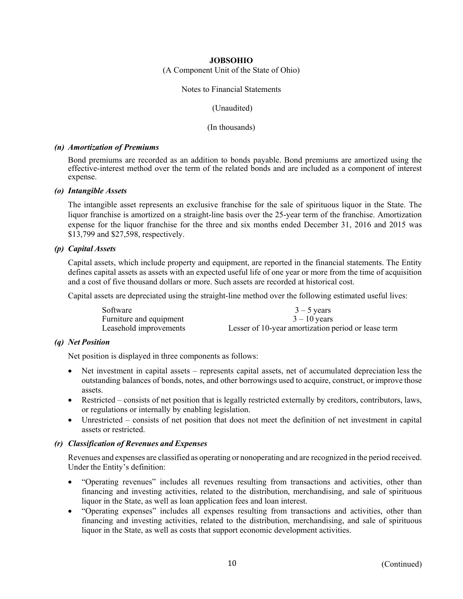(A Component Unit of the State of Ohio)

#### Notes to Financial Statements

(Unaudited)

(In thousands)

#### *(n) Amortization of Premiums*

Bond premiums are recorded as an addition to bonds payable. Bond premiums are amortized using the effective-interest method over the term of the related bonds and are included as a component of interest expense.

#### *(o) Intangible Assets*

The intangible asset represents an exclusive franchise for the sale of spirituous liquor in the State. The liquor franchise is amortized on a straight-line basis over the 25-year term of the franchise. Amortization expense for the liquor franchise for the three and six months ended December 31, 2016 and 2015 was \$13,799 and \$27,598, respectively.

#### *(p) Capital Assets*

Capital assets, which include property and equipment, are reported in the financial statements. The Entity defines capital assets as assets with an expected useful life of one year or more from the time of acquisition and a cost of five thousand dollars or more. Such assets are recorded at historical cost.

Capital assets are depreciated using the straight-line method over the following estimated useful lives:

| Software                | $3 - 5$ years                                       |
|-------------------------|-----------------------------------------------------|
| Furniture and equipment | $3 - 10$ vears                                      |
| Leasehold improvements  | Lesser of 10-year amortization period or lease term |

#### *(q) Net Position*

Net position is displayed in three components as follows:

- Net investment in capital assets represents capital assets, net of accumulated depreciation less the outstanding balances of bonds, notes, and other borrowings used to acquire, construct, or improve those assets.
- Restricted consists of net position that is legally restricted externally by creditors, contributors, laws, or regulations or internally by enabling legislation.
- Unrestricted consists of net position that does not meet the definition of net investment in capital assets or restricted.

#### *(r) Classification of Revenues and Expenses*

Revenues and expenses are classified as operating or nonoperating and are recognized in the period received. Under the Entity's definition:

- "Operating revenues" includes all revenues resulting from transactions and activities, other than financing and investing activities, related to the distribution, merchandising, and sale of spirituous liquor in the State, as well as loan application fees and loan interest.
- "Operating expenses" includes all expenses resulting from transactions and activities, other than financing and investing activities, related to the distribution, merchandising, and sale of spirituous liquor in the State, as well as costs that support economic development activities.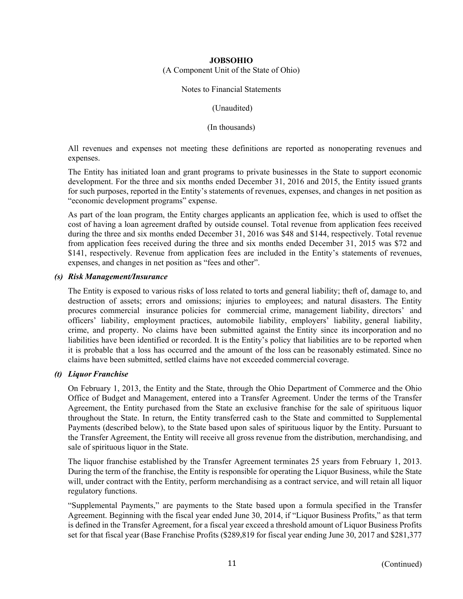(A Component Unit of the State of Ohio)

Notes to Financial Statements

(Unaudited)

(In thousands)

All revenues and expenses not meeting these definitions are reported as nonoperating revenues and expenses.

The Entity has initiated loan and grant programs to private businesses in the State to support economic development. For the three and six months ended December 31, 2016 and 2015, the Entity issued grants for such purposes, reported in the Entity's statements of revenues, expenses, and changes in net position as "economic development programs" expense.

As part of the loan program, the Entity charges applicants an application fee, which is used to offset the cost of having a loan agreement drafted by outside counsel. Total revenue from application fees received during the three and six months ended December 31, 2016 was \$48 and \$144, respectively. Total revenue from application fees received during the three and six months ended December 31, 2015 was \$72 and \$141, respectively. Revenue from application fees are included in the Entity's statements of revenues, expenses, and changes in net position as "fees and other".

## *(s) Risk Management/Insurance*

The Entity is exposed to various risks of loss related to torts and general liability; theft of, damage to, and destruction of assets; errors and omissions; injuries to employees; and natural disasters. The Entity procures commercial insurance policies for commercial crime, management liability, directors' and officers' liability, employment practices, automobile liability, employers' liability, general liability, crime, and property. No claims have been submitted against the Entity since its incorporation and no liabilities have been identified or recorded. It is the Entity's policy that liabilities are to be reported when it is probable that a loss has occurred and the amount of the loss can be reasonably estimated. Since no claims have been submitted, settled claims have not exceeded commercial coverage.

## *(t) Liquor Franchise*

On February 1, 2013, the Entity and the State, through the Ohio Department of Commerce and the Ohio Office of Budget and Management, entered into a Transfer Agreement. Under the terms of the Transfer Agreement, the Entity purchased from the State an exclusive franchise for the sale of spirituous liquor throughout the State. In return, the Entity transferred cash to the State and committed to Supplemental Payments (described below), to the State based upon sales of spirituous liquor by the Entity. Pursuant to the Transfer Agreement, the Entity will receive all gross revenue from the distribution, merchandising, and sale of spirituous liquor in the State.

The liquor franchise established by the Transfer Agreement terminates 25 years from February 1, 2013. During the term of the franchise, the Entity is responsible for operating the Liquor Business, while the State will, under contract with the Entity, perform merchandising as a contract service, and will retain all liquor regulatory functions.

"Supplemental Payments," are payments to the State based upon a formula specified in the Transfer Agreement. Beginning with the fiscal year ended June 30, 2014, if "Liquor Business Profits," as that term is defined in the Transfer Agreement, for a fiscal year exceed a threshold amount of Liquor Business Profits set for that fiscal year (Base Franchise Profits (\$289,819 for fiscal year ending June 30, 2017 and \$281,377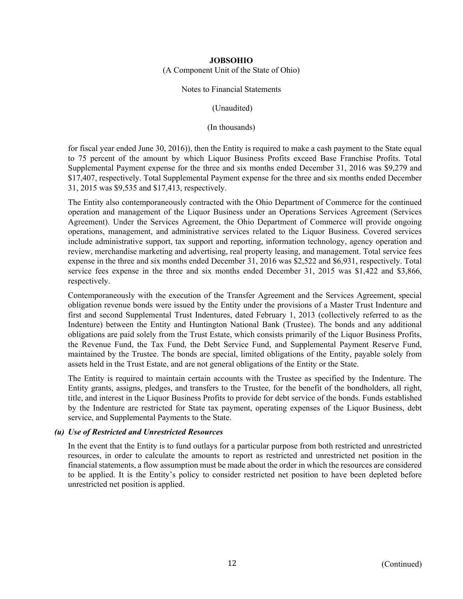(A Component Unit of the State of Ohio)

#### Notes to Financial Statements

(Unaudited)

(In thousands)

for fiscal year ended June 30, 2016)), then the Entity is required to make a cash payment to the State equal to 75 percent of the amount by which Liquor Business Profits exceed Base Franchise Profits. Total Supplemental Payment expense for the three and six months ended December 31, 2016 was \$9,279 and \$17,407, respectively. Total Supplemental Payment expense for the three and six months ended December 31, 2015 was \$9,535 and \$17,413, respectively.

The Entity also contemporaneously contracted with the Ohio Department of Commerce for the continued operation and management of the Liquor Business under an Operations Services Agreement (Services Agreement). Under the Services Agreement, the Ohio Department of Commerce will provide ongoing operations, management, and administrative services related to the Liquor Business. Covered services include administrative support, tax support and reporting, information technology, agency operation and review, merchandise marketing and advertising, real property leasing, and management. Total service fees expense in the three and six months ended December 31, 2016 was \$2,522 and \$6,931, respectively. Total service fees expense in the three and six months ended December 31, 2015 was \$1,422 and \$3,866, respectively.

Contemporaneously with the execution of the Transfer Agreement and the Services Agreement, special obligation revenue bonds were issued by the Entity under the provisions of a Master Trust Indenture and first and second Supplemental Trust Indentures, dated February 1, 2013 (collectively referred to as the Indenture) between the Entity and Huntington National Bank (Trustee). The bonds and any additional obligations are paid solely from the Trust Estate, which consists primarily of the Liquor Business Profits, the Revenue Fund, the Tax Fund, the Debt Service Fund, and Supplemental Payment Reserve Fund, maintained by the Trustee. The bonds are special, limited obligations of the Entity, payable solely from assets held in the Trust Estate, and are not general obligations of the Entity or the State.

The Entity is required to maintain certain accounts with the Trustee as specified by the Indenture. The Entity grants, assigns, pledges, and transfers to the Trustee, for the benefit of the bondholders, all right, title, and interest in the Liquor Business Profits to provide for debt service of the bonds. Funds established by the Indenture are restricted for State tax payment, operating expenses of the Liquor Business, debt service, and Supplemental Payments to the State.

## *(u) Use of Restricted and Unrestricted Resources*

In the event that the Entity is to fund outlays for a particular purpose from both restricted and unrestricted resources, in order to calculate the amounts to report as restricted and unrestricted net position in the financial statements, a flow assumption must be made about the order in which the resources are considered to be applied. It is the Entity's policy to consider restricted net position to have been depleted before unrestricted net position is applied.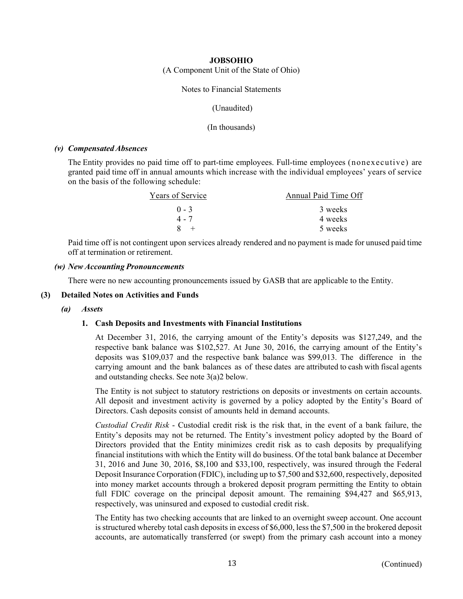(A Component Unit of the State of Ohio)

Notes to Financial Statements

(Unaudited)

(In thousands)

## *(v) Compensated Absences*

The Entity provides no paid time off to part-time employees. Full-time employees (nonexecutive) are granted paid time off in annual amounts which increase with the individual employees' years of service on the basis of the following schedule:

| Years of Service | Annual Paid Time Off |
|------------------|----------------------|
| $() - 3$         | 3 weeks              |
| $4 - 7$          | 4 weeks              |
|                  | 5 weeks              |

Paid time off is not contingent upon services already rendered and no payment is made for unused paid time off at termination or retirement.

## *(w) New Accounting Pronouncements*

There were no new accounting pronouncements issued by GASB that are applicable to the Entity.

## **(3) Detailed Notes on Activities and Funds**

#### *(a) Assets*

## **1. Cash Deposits and Investments with Financial Institutions**

At December 31, 2016, the carrying amount of the Entity's deposits was \$127,249, and the respective bank balance was \$102,527. At June 30, 2016, the carrying amount of the Entity's deposits was \$109,037 and the respective bank balance was \$99,013. The difference in the carrying amount and the bank balances as of these dates are attributed to cash with fiscal agents and outstanding checks. See note 3(a)2 below.

The Entity is not subject to statutory restrictions on deposits or investments on certain accounts. All deposit and investment activity is governed by a policy adopted by the Entity's Board of Directors. Cash deposits consist of amounts held in demand accounts.

*Custodial Credit Risk* - Custodial credit risk is the risk that, in the event of a bank failure, the Entity's deposits may not be returned. The Entity's investment policy adopted by the Board of Directors provided that the Entity minimizes credit risk as to cash deposits by prequalifying financial institutions with which the Entity will do business. Of the total bank balance at December 31, 2016 and June 30, 2016, \$8,100 and \$33,100, respectively, was insured through the Federal Deposit Insurance Corporation (FDIC), including up to \$7,500 and \$32,600, respectively, deposited into money market accounts through a brokered deposit program permitting the Entity to obtain full FDIC coverage on the principal deposit amount. The remaining \$94,427 and \$65,913, respectively, was uninsured and exposed to custodial credit risk.

The Entity has two checking accounts that are linked to an overnight sweep account. One account is structured whereby total cash deposits in excess of \$6,000, less the \$7,500 in the brokered deposit accounts, are automatically transferred (or swept) from the primary cash account into a money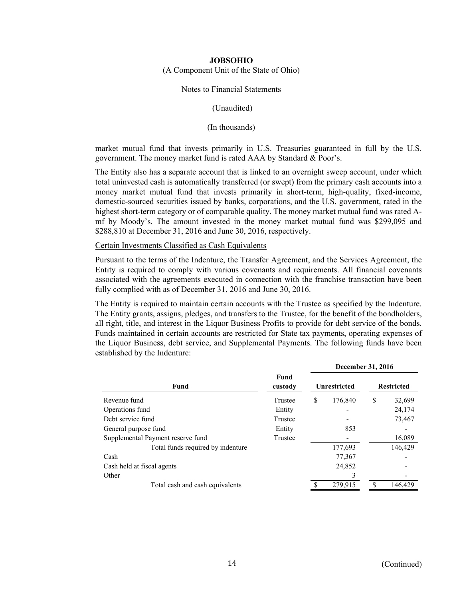(A Component Unit of the State of Ohio)

#### Notes to Financial Statements

(Unaudited)

(In thousands)

market mutual fund that invests primarily in U.S. Treasuries guaranteed in full by the U.S. government. The money market fund is rated AAA by Standard & Poor's.

The Entity also has a separate account that is linked to an overnight sweep account, under which total uninvested cash is automatically transferred (or swept) from the primary cash accounts into a money market mutual fund that invests primarily in short-term, high-quality, fixed-income, domestic-sourced securities issued by banks, corporations, and the U.S. government, rated in the highest short-term category or of comparable quality. The money market mutual fund was rated Amf by Moody's. The amount invested in the money market mutual fund was \$299,095 and \$288,810 at December 31, 2016 and June 30, 2016, respectively.

Certain Investments Classified as Cash Equivalents

Pursuant to the terms of the Indenture, the Transfer Agreement, and the Services Agreement, the Entity is required to comply with various covenants and requirements. All financial covenants associated with the agreements executed in connection with the franchise transaction have been fully complied with as of December 31, 2016 and June 30, 2016.

The Entity is required to maintain certain accounts with the Trustee as specified by the Indenture. The Entity grants, assigns, pledges, and transfers to the Trustee, for the benefit of the bondholders, all right, title, and interest in the Liquor Business Profits to provide for debt service of the bonds. Funds maintained in certain accounts are restricted for State tax payments, operating expenses of the Liquor Business, debt service, and Supplemental Payments. The following funds have been established by the Indenture:

|                                   |                        | <b>December 31, 2016</b> |                     |                   |         |  |  |  |
|-----------------------------------|------------------------|--------------------------|---------------------|-------------------|---------|--|--|--|
| Fund                              | <b>Fund</b><br>custody |                          | <b>Unrestricted</b> | <b>Restricted</b> |         |  |  |  |
| Revenue fund                      | Trustee                | \$                       | 176,840             | \$                | 32,699  |  |  |  |
| Operations fund                   | Entity                 |                          |                     |                   | 24,174  |  |  |  |
| Debt service fund                 | Trustee                |                          |                     |                   | 73,467  |  |  |  |
| General purpose fund              | Entity                 |                          | 853                 |                   |         |  |  |  |
| Supplemental Payment reserve fund | Trustee                |                          |                     |                   | 16,089  |  |  |  |
| Total funds required by indenture |                        |                          | 177,693             |                   | 146,429 |  |  |  |
| Cash                              |                        |                          | 77,367              |                   |         |  |  |  |
| Cash held at fiscal agents        |                        |                          | 24,852              |                   |         |  |  |  |
| Other                             |                        |                          |                     |                   |         |  |  |  |
| Total cash and cash equivalents   |                        | S                        | 279.915             | S                 | 146,429 |  |  |  |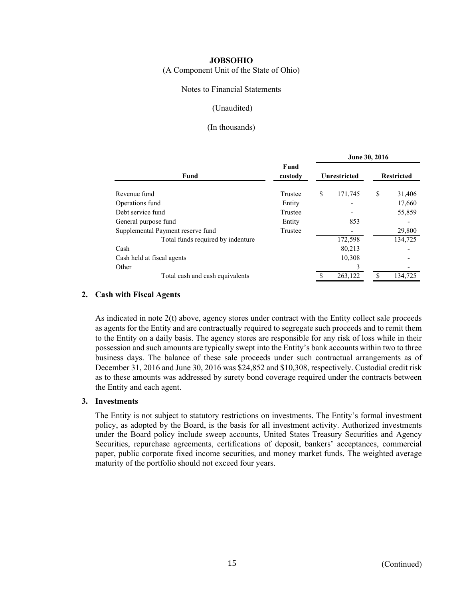(A Component Unit of the State of Ohio)

## Notes to Financial Statements

## (Unaudited)

## (In thousands)

|                                   |                 | June 30, 2016 |                     |                   |         |  |  |
|-----------------------------------|-----------------|---------------|---------------------|-------------------|---------|--|--|
| Fund                              | Fund<br>custody |               | <b>Unrestricted</b> | <b>Restricted</b> |         |  |  |
| Revenue fund                      | Trustee         | \$            | 171,745             | \$                | 31,406  |  |  |
| Operations fund                   | Entity          |               |                     |                   | 17,660  |  |  |
| Debt service fund                 | Trustee         |               |                     |                   | 55,859  |  |  |
| General purpose fund              | Entity          |               | 853                 |                   |         |  |  |
| Supplemental Payment reserve fund | Trustee         |               |                     |                   | 29,800  |  |  |
| Total funds required by indenture |                 |               | 172,598             |                   | 134,725 |  |  |
| Cash                              |                 |               | 80,213              |                   |         |  |  |
| Cash held at fiscal agents        |                 |               | 10,308              |                   |         |  |  |
| Other                             |                 |               | ٩                   |                   |         |  |  |
| Total cash and cash equivalents   |                 |               | 263,122             |                   | 134,725 |  |  |

#### **2. Cash with Fiscal Agents**

As indicated in note 2(t) above, agency stores under contract with the Entity collect sale proceeds as agents for the Entity and are contractually required to segregate such proceeds and to remit them to the Entity on a daily basis. The agency stores are responsible for any risk of loss while in their possession and such amounts are typically swept into the Entity's bank accounts within two to three business days. The balance of these sale proceeds under such contractual arrangements as of December 31, 2016 and June 30, 2016 was \$24,852 and \$10,308, respectively. Custodial credit risk as to these amounts was addressed by surety bond coverage required under the contracts between the Entity and each agent.

#### **3. Investments**

The Entity is not subject to statutory restrictions on investments. The Entity's formal investment policy, as adopted by the Board, is the basis for all investment activity. Authorized investments under the Board policy include sweep accounts, United States Treasury Securities and Agency Securities, repurchase agreements, certifications of deposit, bankers' acceptances, commercial paper, public corporate fixed income securities, and money market funds. The weighted average maturity of the portfolio should not exceed four years.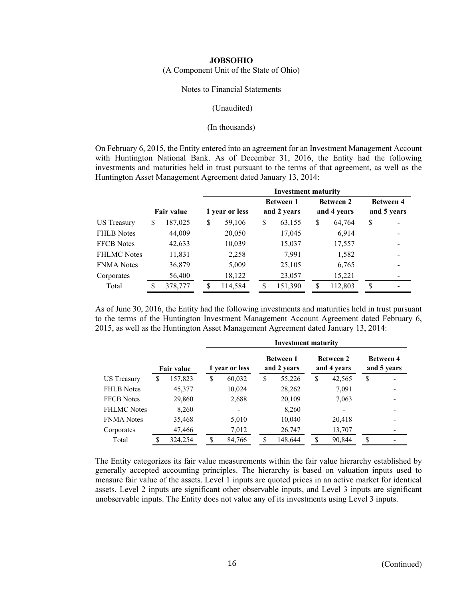(A Component Unit of the State of Ohio)

#### Notes to Financial Statements

#### (Unaudited)

#### (In thousands)

On February 6, 2015, the Entity entered into an agreement for an Investment Management Account with Huntington National Bank. As of December 31, 2016, the Entity had the following investments and maturities held in trust pursuant to the terms of that agreement, as well as the Huntington Asset Management Agreement dated January 13, 2014:

|                    |   |                   |    | <b>Investment maturity</b> |    |                                 |    |                                 |                                 |  |  |  |  |
|--------------------|---|-------------------|----|----------------------------|----|---------------------------------|----|---------------------------------|---------------------------------|--|--|--|--|
|                    |   | <b>Fair value</b> |    | 1 year or less             |    | <b>Between 1</b><br>and 2 years |    | <b>Between 2</b><br>and 4 years | <b>Between 4</b><br>and 5 years |  |  |  |  |
| US Treasury        | S | 187,025           | \$ | 59,106                     | \$ | 63,155                          | \$ | 64,764                          | \$                              |  |  |  |  |
| <b>FHLB</b> Notes  |   | 44,009            |    | 20,050                     |    | 17,045                          |    | 6,914                           |                                 |  |  |  |  |
| <b>FFCB</b> Notes  |   | 42,633            |    | 10,039                     |    | 15,037                          |    | 17,557                          |                                 |  |  |  |  |
| <b>FHLMC</b> Notes |   | 11,831            |    | 2,258                      |    | 7,991                           |    | 1,582                           |                                 |  |  |  |  |
| <b>FNMA</b> Notes  |   | 36,879            |    | 5,009                      |    | 25,105                          |    | 6,765                           |                                 |  |  |  |  |
| Corporates         |   | 56,400            |    | 18,122                     |    | 23,057                          |    | 15,221                          |                                 |  |  |  |  |
| Total              |   | 378,777           | S  | 114,584                    | S  | 151,390                         | S  | 112,803                         | S                               |  |  |  |  |

As of June 30, 2016, the Entity had the following investments and maturities held in trust pursuant to the terms of the Huntington Investment Management Account Agreement dated February 6, 2015, as well as the Huntington Asset Management Agreement dated January 13, 2014:

|                    |   |                   | <b>Investment maturity</b> |                |    |                                 |    |                                 |                                 |  |
|--------------------|---|-------------------|----------------------------|----------------|----|---------------------------------|----|---------------------------------|---------------------------------|--|
|                    |   | <b>Fair value</b> |                            | 1 year or less |    | <b>Between 1</b><br>and 2 years |    | <b>Between 2</b><br>and 4 years | <b>Between 4</b><br>and 5 years |  |
| US Treasury        | S | 157,823           | \$                         | 60,032         | \$ | 55,226                          | \$ | 42,565                          | \$                              |  |
| <b>FHLB</b> Notes  |   | 45,377            |                            | 10,024         |    | 28,262                          |    | 7,091                           |                                 |  |
| <b>FFCB</b> Notes  |   | 29,860            |                            | 2,688          |    | 20,109                          |    | 7,063                           |                                 |  |
| <b>FHLMC</b> Notes |   | 8,260             |                            | -              |    | 8,260                           |    |                                 |                                 |  |
| <b>FNMA</b> Notes  |   | 35,468            |                            | 5,010          |    | 10,040                          |    | 20,418                          |                                 |  |
| Corporates         |   | 47,466            |                            | 7,012          |    | 26,747                          |    | 13,707                          |                                 |  |
| Total              | S | 324,254           | \$.                        | 84,766         | S  | 148,644                         | S  | 90,844                          | S                               |  |

The Entity categorizes its fair value measurements within the fair value hierarchy established by generally accepted accounting principles. The hierarchy is based on valuation inputs used to measure fair value of the assets. Level 1 inputs are quoted prices in an active market for identical assets, Level 2 inputs are significant other observable inputs, and Level 3 inputs are significant unobservable inputs. The Entity does not value any of its investments using Level 3 inputs.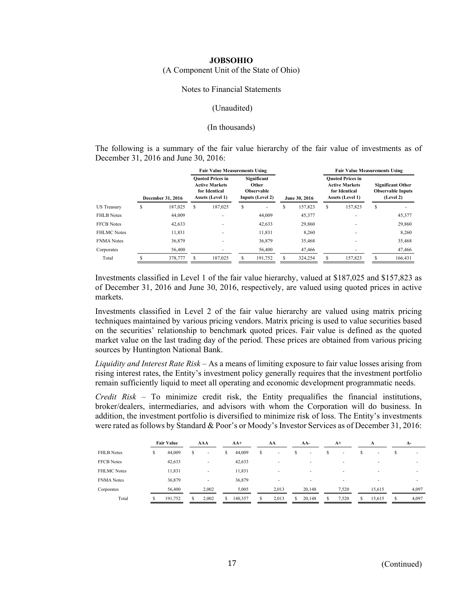#### (A Component Unit of the State of Ohio)

## Notes to Financial Statements

#### (Unaudited)

#### (In thousands)

The following is a summary of the fair value hierarchy of the fair value of investments as of December 31, 2016 and June 30, 2016:

|                    | <b>Fair Value Measurements Using</b> |                                                                                       |         |                                                                      |         |               |         | <b>Fair Value Measurements Using</b>                                                  |         |                                                                   |         |
|--------------------|--------------------------------------|---------------------------------------------------------------------------------------|---------|----------------------------------------------------------------------|---------|---------------|---------|---------------------------------------------------------------------------------------|---------|-------------------------------------------------------------------|---------|
|                    | <b>December 31, 2016</b>             | <b>Ouoted Prices in</b><br><b>Active Markets</b><br>for Identical<br>Assets (Level 1) |         | Significant<br><b>Other</b><br><b>Observable</b><br>Inputs (Level 2) |         | June 30, 2016 |         | <b>Ouoted Prices in</b><br><b>Active Markets</b><br>for Identical<br>Assets (Level 1) |         | <b>Significant Other</b><br><b>Observable Inputs</b><br>(Level 2) |         |
| <b>US</b> Treasury | \$<br>187,025                        | S                                                                                     | 187,025 | \$                                                                   |         | S             | 157,823 | \$                                                                                    | 157,823 | \$                                                                |         |
| <b>FHLB</b> Notes  | 44,009                               |                                                                                       |         |                                                                      | 44,009  |               | 45,377  |                                                                                       |         |                                                                   | 45,377  |
| <b>FFCB</b> Notes  | 42,633                               |                                                                                       |         |                                                                      | 42,633  |               | 29,860  |                                                                                       |         |                                                                   | 29,860  |
| <b>FHLMC Notes</b> | 11,831                               |                                                                                       |         |                                                                      | 11,831  |               | 8,260   |                                                                                       |         |                                                                   | 8,260   |
| <b>FNMA</b> Notes  | 36,879                               |                                                                                       |         |                                                                      | 36,879  |               | 35,468  |                                                                                       |         |                                                                   | 35,468  |
| Corporates         | 56,400                               |                                                                                       |         |                                                                      | 56,400  |               | 47,466  |                                                                                       |         |                                                                   | 47,466  |
| Total              | 378,777                              |                                                                                       | 187,025 |                                                                      | 191,752 |               | 324,254 | S                                                                                     | 157,823 |                                                                   | 166,431 |

Investments classified in Level 1 of the fair value hierarchy, valued at \$187,025 and \$157,823 as of December 31, 2016 and June 30, 2016, respectively, are valued using quoted prices in active markets.

Investments classified in Level 2 of the fair value hierarchy are valued using matrix pricing techniques maintained by various pricing vendors. Matrix pricing is used to value securities based on the securities' relationship to benchmark quoted prices. Fair value is defined as the quoted market value on the last trading day of the period. These prices are obtained from various pricing sources by Huntington National Bank.

*Liquidity and Interest Rate Risk* – As a means of limiting exposure to fair value losses arising from rising interest rates, the Entity's investment policy generally requires that the investment portfolio remain sufficiently liquid to meet all operating and economic development programmatic needs.

*Credit Risk* – To minimize credit risk, the Entity prequalifies the financial institutions, broker/dealers, intermediaries, and advisors with whom the Corporation will do business. In addition, the investment portfolio is diversified to minimize risk of loss. The Entity's investments were rated as follows by Standard & Poor's or Moody's Investor Services as of December 31, 2016:

|                    |   | <b>Fair Value</b> |   | AAA   |   | $AA+$   |   | AA                       |   | AA-    |   | $A+$                     |   | A      |   | $A-$  |
|--------------------|---|-------------------|---|-------|---|---------|---|--------------------------|---|--------|---|--------------------------|---|--------|---|-------|
| <b>FHLB</b> Notes  | S | 44,009            | S | ۰     | S | 44,009  | S | $\sim$                   | S | ٠      |   | $\overline{\phantom{a}}$ | s | ٠      |   |       |
| <b>FFCB</b> Notes  |   | 42,633            |   |       |   | 42,633  |   | $\overline{\phantom{a}}$ |   | ٠      |   | ۰                        |   | ۰      |   |       |
| <b>FHLMC</b> Notes |   | 11,831            |   | ٠     |   | 11,831  |   | ۰                        |   |        |   | ۰                        |   |        |   |       |
| <b>FNMA</b> Notes  |   | 36,879            |   | ۰     |   | 36,879  |   | ۰                        |   | ٠      |   | ٠                        |   | ۰.     |   |       |
| Corporates         |   | 56,400            |   | 2,002 |   | 5,005   |   | 2,013                    |   | 20,148 |   | 7.520                    |   | 15.615 |   | 4.097 |
| Total              |   | 191,752           | S | 2.002 | s | 140,357 | s | 2,013                    | S | 20,148 | s | 7.520                    | s | 15.615 | s | 4,097 |
|                    |   |                   |   |       |   |         |   |                          |   |        |   |                          |   |        |   |       |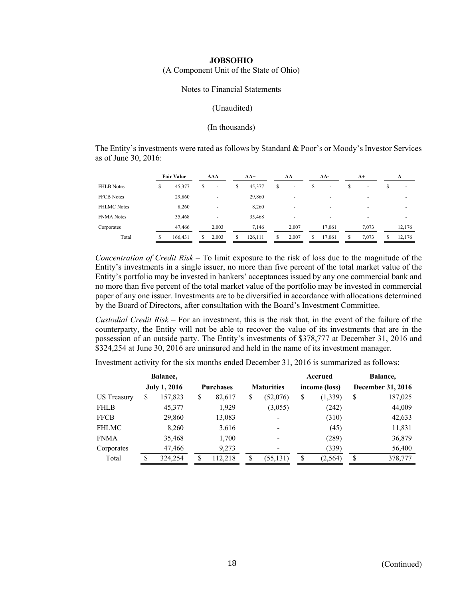(A Component Unit of the State of Ohio)

#### Notes to Financial Statements

## (Unaudited)

#### (In thousands)

The Entity's investments were rated as follows by Standard & Poor's or Moody's Investor Services as of June 30, 2016:

|                    |    | <b>Fair Value</b> |    | AAA                      |    | $AA+$   |    | AA                       |   | AA-                      |   | $A^+$                    |   | A                        |
|--------------------|----|-------------------|----|--------------------------|----|---------|----|--------------------------|---|--------------------------|---|--------------------------|---|--------------------------|
| <b>FHLB</b> Notes  | \$ | 45,377            | S  |                          | \$ | 45,377  | \$ | $\overline{\phantom{a}}$ | S | $\overline{\phantom{a}}$ | S | $\overline{\phantom{a}}$ | S | $\overline{\phantom{0}}$ |
| <b>FFCB</b> Notes  |    | 29,860            |    | $\overline{\phantom{a}}$ |    | 29,860  |    |                          |   |                          |   | -                        |   | ۰                        |
| <b>FHLMC</b> Notes |    | 8,260             |    |                          |    | 8,260   |    |                          |   | -                        |   | $\overline{\phantom{0}}$ |   |                          |
| <b>FNMA</b> Notes  |    | 35,468            |    |                          |    | 35,468  |    | ۰                        |   | $\overline{\phantom{a}}$ |   | -                        |   | ۰                        |
| Corporates         |    | 47,466            |    | 2.003                    |    | 7.146   |    | 2.007                    |   | 17.061                   |   | 7.073                    |   | 12.176                   |
| Total              | S  | 166,431           | S. | 2.003                    | S. | 126,111 | S. | 2.007                    | S | 17,061                   |   | 7,073                    | S | 12.176                   |

*Concentration of Credit Risk* – To limit exposure to the risk of loss due to the magnitude of the Entity's investments in a single issuer, no more than five percent of the total market value of the Entity's portfolio may be invested in bankers' acceptances issued by any one commercial bank and no more than five percent of the total market value of the portfolio may be invested in commercial paper of any one issuer. Investments are to be diversified in accordance with allocations determined by the Board of Directors, after consultation with the Board's Investment Committee.

*Custodial Credit Risk* – For an investment, this is the risk that, in the event of the failure of the counterparty, the Entity will not be able to recover the value of its investments that are in the possession of an outside party. The Entity's investments of \$378,777 at December 31, 2016 and \$324,254 at June 30, 2016 are uninsured and held in the name of its investment manager.

Investment activity for the six months ended December 31, 2016 is summarized as follows:

|                    |                     | Balance, |                  |         |                   |    | Accrued       |    | Balance,          |
|--------------------|---------------------|----------|------------------|---------|-------------------|----|---------------|----|-------------------|
|                    | <b>July 1, 2016</b> |          | <b>Purchases</b> |         | <b>Maturities</b> |    | income (loss) |    | December 31, 2016 |
| <b>US</b> Treasury | S                   | 157,823  | \$               | 82,617  | \$<br>(52,076)    | \$ | (1, 339)      | \$ | 187,025           |
| <b>FHLB</b>        |                     | 45,377   |                  | 1,929   | (3,055)           |    | (242)         |    | 44,009            |
| <b>FFCB</b>        |                     | 29,860   |                  | 13,083  |                   |    | (310)         |    | 42,633            |
| <b>FHLMC</b>       |                     | 8,260    |                  | 3,616   |                   |    | (45)          |    | 11,831            |
| <b>FNMA</b>        |                     | 35,468   |                  | 1,700   |                   |    | (289)         |    | 36,879            |
| Corporates         |                     | 47,466   |                  | 9,273   | -                 |    | (339)         |    | 56,400            |
| Total              |                     | 324,254  | \$               | 112.218 | \$<br>(55, 131)   | \$ | (2, 564)      | \$ | 378,777           |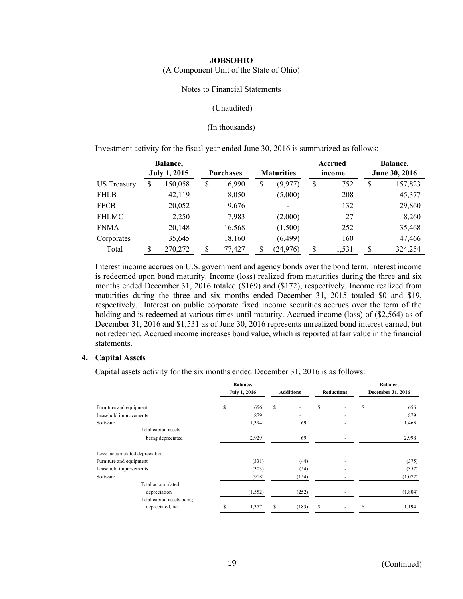(A Component Unit of the State of Ohio)

#### Notes to Financial Statements

#### (Unaudited)

#### (In thousands)

Investment activity for the fiscal year ended June 30, 2016 is summarized as follows:

|                    | Balance,            |                  |        |                   |    | Accrued |               | Balance, |
|--------------------|---------------------|------------------|--------|-------------------|----|---------|---------------|----------|
|                    | <b>July 1, 2015</b> | <b>Purchases</b> |        | <b>Maturities</b> |    | income  | June 30, 2016 |          |
| <b>US</b> Treasury | \$<br>150,058       | \$               | 16,990 | \$<br>(9,977)     | \$ | 752     | \$            | 157,823  |
| <b>FHLB</b>        | 42,119              |                  | 8,050  | (5,000)           |    | 208     |               | 45,377   |
| <b>FFCB</b>        | 20,052              |                  | 9,676  |                   |    | 132     |               | 29,860   |
| <b>FHLMC</b>       | 2,250               |                  | 7,983  | (2,000)           |    | 27      |               | 8,260    |
| <b>FNMA</b>        | 20,148              |                  | 16,568 | (1,500)           |    | 252     |               | 35,468   |
| Corporates         | 35,645              |                  | 18,160 | (6, 499)          |    | 160     |               | 47,466   |
| Total              | \$<br>270,272       | \$               | 77,427 | \$<br>(24, 976)   | \$ | 1,531   | \$            | 324,254  |

Interest income accrues on U.S. government and agency bonds over the bond term. Interest income is redeemed upon bond maturity. Income (loss) realized from maturities during the three and six months ended December 31, 2016 totaled (\$169) and (\$172), respectively. Income realized from maturities during the three and six months ended December 31, 2015 totaled \$0 and \$19, respectively. Interest on public corporate fixed income securities accrues over the term of the holding and is redeemed at various times until maturity. Accrued income (loss) of  $(\$2,564)$  as of December 31, 2016 and \$1,531 as of June 30, 2016 represents unrealized bond interest earned, but not redeemed. Accrued income increases bond value, which is reported at fair value in the financial statements.

#### **4. Capital Assets**

Capital assets activity for the six months ended December 31, 2016 is as follows:

|                                | Balance, |                     |                  |    |                   | Balance, |                   |
|--------------------------------|----------|---------------------|------------------|----|-------------------|----------|-------------------|
|                                |          | <b>July 1, 2016</b> | <b>Additions</b> |    | <b>Reductions</b> |          | December 31, 2016 |
| Furniture and equipment        | \$       | 656                 | \$               | \$ |                   | S        | 656               |
| Leasehold improvements         |          | 879                 |                  |    |                   |          | 879               |
| Software                       |          | 1,394               | 69               |    |                   |          | 1,463             |
| Total capital assets           |          |                     |                  |    |                   |          |                   |
| being depreciated              |          | 2,929               | 69               |    |                   |          | 2,998             |
| Less: accumulated depreciation |          |                     |                  |    |                   |          |                   |
| Furniture and equipment        |          | (331)               | (44)             |    |                   |          | (375)             |
| Leasehold improvements         |          | (303)               | (54)             |    |                   |          | (357)             |
| Software                       |          | (918)               | (154)            |    |                   |          | (1,072)           |
| Total accumulated              |          |                     |                  |    |                   |          |                   |
| depreciation                   |          | (1, 552)            | (252)            |    |                   |          | (1,804)           |
| Total capital assets being     |          |                     |                  |    |                   |          |                   |
| depreciated, net               |          | 1,377               | (183)            | S  |                   |          | 1,194             |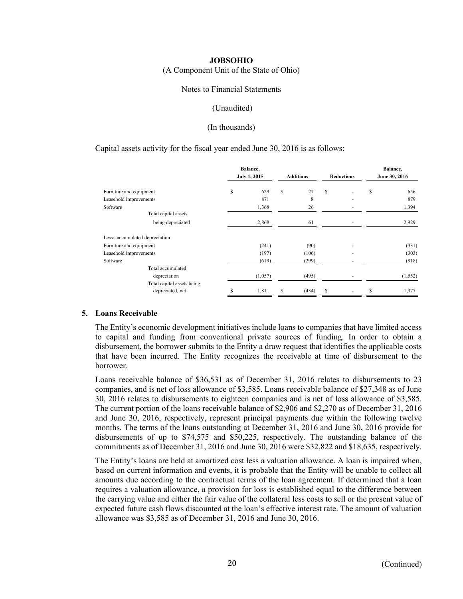(A Component Unit of the State of Ohio)

#### Notes to Financial Statements

#### (Unaudited)

#### (In thousands)

#### Capital assets activity for the fiscal year ended June 30, 2016 is as follows:

|                                | Balance,<br><b>July 1, 2015</b> |         | <b>Additions</b> |       | <b>Reductions</b> |   | Balance,<br>June 30, 2016 |          |
|--------------------------------|---------------------------------|---------|------------------|-------|-------------------|---|---------------------------|----------|
|                                |                                 |         |                  |       |                   |   |                           |          |
| Furniture and equipment        | \$                              | 629     | \$               | 27    | S                 |   | S                         | 656      |
| Leasehold improvements         |                                 | 871     |                  | 8     |                   |   |                           | 879      |
| Software                       |                                 | 1,368   |                  | 26    |                   |   |                           | 1,394    |
| Total capital assets           |                                 |         |                  |       |                   |   |                           |          |
| being depreciated              |                                 | 2,868   |                  | 61    |                   |   |                           | 2,929    |
| Less: accumulated depreciation |                                 |         |                  |       |                   |   |                           |          |
| Furniture and equipment        |                                 | (241)   |                  | (90)  |                   |   |                           | (331)    |
| Leasehold improvements         |                                 | (197)   |                  | (106) |                   | - |                           | (303)    |
| Software                       |                                 | (619)   |                  | (299) |                   |   |                           | (918)    |
| Total accumulated              |                                 |         |                  |       |                   |   |                           |          |
| depreciation                   |                                 | (1,057) |                  | (495) |                   |   |                           | (1, 552) |
| Total capital assets being     |                                 |         |                  |       |                   |   |                           |          |
| depreciated, net               | S                               | 1,811   | \$               | (434) | S                 |   | S                         | 1,377    |

#### **5. Loans Receivable**

The Entity's economic development initiatives include loans to companies that have limited access to capital and funding from conventional private sources of funding. In order to obtain a disbursement, the borrower submits to the Entity a draw request that identifies the applicable costs that have been incurred. The Entity recognizes the receivable at time of disbursement to the borrower.

Loans receivable balance of \$36,531 as of December 31, 2016 relates to disbursements to 23 companies, and is net of loss allowance of \$3,585. Loans receivable balance of \$27,348 as of June 30, 2016 relates to disbursements to eighteen companies and is net of loss allowance of \$3,585. The current portion of the loans receivable balance of \$2,906 and \$2,270 as of December 31, 2016 and June 30, 2016, respectively, represent principal payments due within the following twelve months. The terms of the loans outstanding at December 31, 2016 and June 30, 2016 provide for disbursements of up to \$74,575 and \$50,225, respectively. The outstanding balance of the commitments as of December 31, 2016 and June 30, 2016 were \$32,822 and \$18,635, respectively.

The Entity's loans are held at amortized cost less a valuation allowance. A loan is impaired when, based on current information and events, it is probable that the Entity will be unable to collect all amounts due according to the contractual terms of the loan agreement. If determined that a loan requires a valuation allowance, a provision for loss is established equal to the difference between the carrying value and either the fair value of the collateral less costs to sell or the present value of expected future cash flows discounted at the loan's effective interest rate. The amount of valuation allowance was \$3,585 as of December 31, 2016 and June 30, 2016.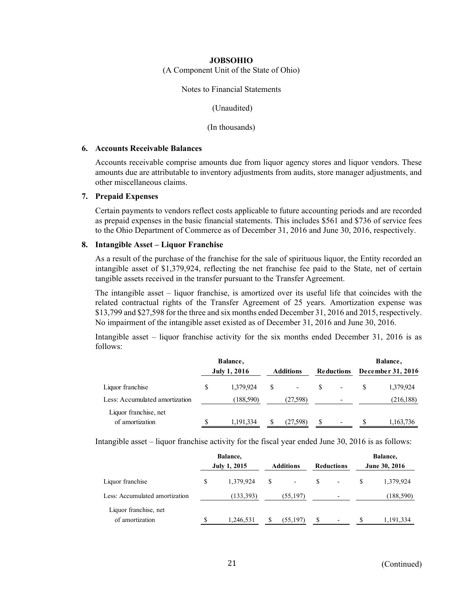(A Component Unit of the State of Ohio)

Notes to Financial Statements

(Unaudited)

(In thousands)

#### **6. Accounts Receivable Balances**

Accounts receivable comprise amounts due from liquor agency stores and liquor vendors. These amounts due are attributable to inventory adjustments from audits, store manager adjustments, and other miscellaneous claims.

#### **7. Prepaid Expenses**

Certain payments to vendors reflect costs applicable to future accounting periods and are recorded as prepaid expenses in the basic financial statements. This includes \$561 and \$736 of service fees to the Ohio Department of Commerce as of December 31, 2016 and June 30, 2016, respectively.

#### **8. Intangible Asset – Liquor Franchise**

As a result of the purchase of the franchise for the sale of spirituous liquor, the Entity recorded an intangible asset of \$1,379,924, reflecting the net franchise fee paid to the State, net of certain tangible assets received in the transfer pursuant to the Transfer Agreement.

The intangible asset – liquor franchise, is amortized over its useful life that coincides with the related contractual rights of the Transfer Agreement of 25 years. Amortization expense was \$13,799 and \$27,598 for the three and six months ended December 31, 2016 and 2015, respectively. No impairment of the intangible asset existed as of December 31, 2016 and June 30, 2016.

Intangible asset – liquor franchise activity for the six months ended December 31, 2016 is as follows:

|                                          |                     | Balance,   |                  |                          |                   |    |                   | Balance,   |
|------------------------------------------|---------------------|------------|------------------|--------------------------|-------------------|----|-------------------|------------|
|                                          | <b>July 1, 2016</b> |            | <b>Additions</b> |                          | <b>Reductions</b> |    | December 31, 2016 |            |
| Liquor franchise                         | S                   | 1,379,924  | S                | $\overline{\phantom{a}}$ |                   | -  |                   | 1,379,924  |
| Less: Accumulated amortization           |                     | (188, 590) |                  | (27,598)                 |                   | -  |                   | (216, 188) |
| Liquor franchise, net<br>of amortization |                     | 1,191,334  | <sup>S</sup>     | (27,598)                 | S                 | ۰. | S                 | 1,163,736  |

Intangible asset – liquor franchise activity for the fiscal year ended June 30, 2016 is as follows:

|                                          |    | Balance,            |    |                          |    |                          |    | Balance,             |
|------------------------------------------|----|---------------------|----|--------------------------|----|--------------------------|----|----------------------|
|                                          |    | <b>July 1, 2015</b> |    | <b>Additions</b>         |    | <b>Reductions</b>        |    | <b>June 30, 2016</b> |
| Liquor franchise                         | S  | 1,379,924           | \$ | $\overline{\phantom{a}}$ | S. | $\overline{\phantom{a}}$ | S  | 1,379,924            |
| Less: Accumulated amortization           |    | (133, 393)          |    | (55, 197)                |    | $\overline{\phantom{a}}$ |    | (188, 590)           |
| Liquor franchise, net<br>of amortization | .Ъ | 1,246,531           | S  | (55, 197)                | -S | $\overline{\phantom{a}}$ | -S | 1,191,334            |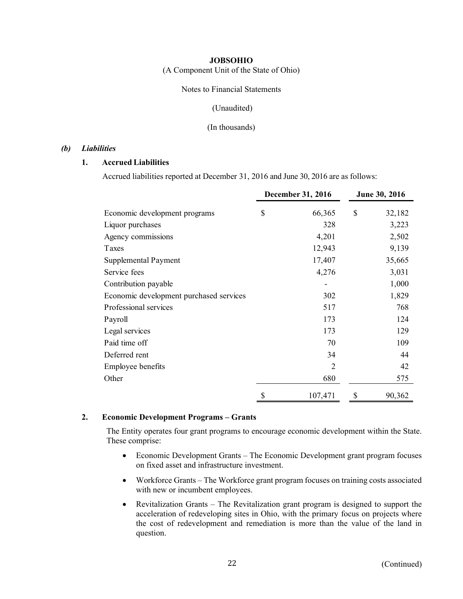(A Component Unit of the State of Ohio)

Notes to Financial Statements

#### (Unaudited)

#### (In thousands)

## *(b) Liabilities*

## **1. Accrued Liabilities**

Accrued liabilities reported at December 31, 2016 and June 30, 2016 are as follows:

|                                         | December 31, 2016 | June 30, 2016 |
|-----------------------------------------|-------------------|---------------|
| Economic development programs           | \$<br>66,365      | \$<br>32,182  |
| Liquor purchases                        | 328               | 3,223         |
| Agency commissions                      | 4,201             | 2,502         |
| Taxes                                   | 12,943            | 9,139         |
| Supplemental Payment                    | 17,407            | 35,665        |
| Service fees                            | 4,276             | 3,031         |
| Contribution payable                    |                   | 1,000         |
| Economic development purchased services | 302               | 1,829         |
| Professional services                   | 517               | 768           |
| Payroll                                 | 173               | 124           |
| Legal services                          | 173               | 129           |
| Paid time off                           | 70                | 109           |
| Deferred rent                           | 34                | 44            |
| Employee benefits                       | $\overline{2}$    | 42            |
| Other                                   | 680               | 575           |
|                                         | \$<br>107,471     | \$<br>90,362  |

## **2. Economic Development Programs – Grants**

The Entity operates four grant programs to encourage economic development within the State. These comprise:

- Economic Development Grants The Economic Development grant program focuses on fixed asset and infrastructure investment.
- Workforce Grants The Workforce grant program focuses on training costs associated with new or incumbent employees.
- Revitalization Grants The Revitalization grant program is designed to support the acceleration of redeveloping sites in Ohio, with the primary focus on projects where the cost of redevelopment and remediation is more than the value of the land in question.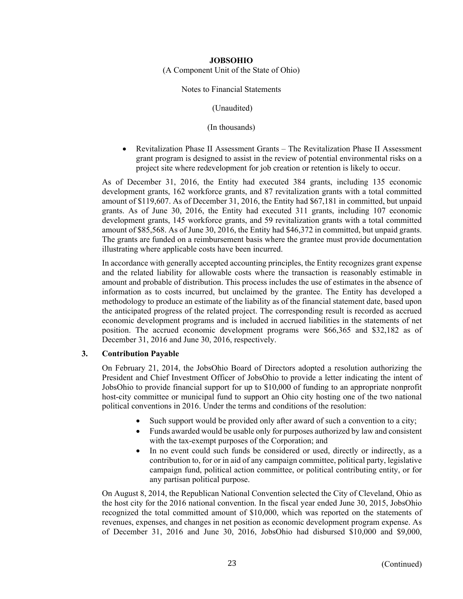(A Component Unit of the State of Ohio)

Notes to Financial Statements

(Unaudited)

(In thousands)

 Revitalization Phase II Assessment Grants – The Revitalization Phase II Assessment grant program is designed to assist in the review of potential environmental risks on a project site where redevelopment for job creation or retention is likely to occur.

As of December 31, 2016, the Entity had executed 384 grants, including 135 economic development grants, 162 workforce grants, and 87 revitalization grants with a total committed amount of \$119,607. As of December 31, 2016, the Entity had \$67,181 in committed, but unpaid grants. As of June 30, 2016, the Entity had executed 311 grants, including 107 economic development grants, 145 workforce grants, and 59 revitalization grants with a total committed amount of \$85,568. As of June 30, 2016, the Entity had \$46,372 in committed, but unpaid grants. The grants are funded on a reimbursement basis where the grantee must provide documentation illustrating where applicable costs have been incurred.

In accordance with generally accepted accounting principles, the Entity recognizes grant expense and the related liability for allowable costs where the transaction is reasonably estimable in amount and probable of distribution. This process includes the use of estimates in the absence of information as to costs incurred, but unclaimed by the grantee. The Entity has developed a methodology to produce an estimate of the liability as of the financial statement date, based upon the anticipated progress of the related project. The corresponding result is recorded as accrued economic development programs and is included in accrued liabilities in the statements of net position. The accrued economic development programs were \$66,365 and \$32,182 as of December 31, 2016 and June 30, 2016, respectively.

## **3. Contribution Payable**

On February 21, 2014, the JobsOhio Board of Directors adopted a resolution authorizing the President and Chief Investment Officer of JobsOhio to provide a letter indicating the intent of JobsOhio to provide financial support for up to \$10,000 of funding to an appropriate nonprofit host-city committee or municipal fund to support an Ohio city hosting one of the two national political conventions in 2016. Under the terms and conditions of the resolution:

- Such support would be provided only after award of such a convention to a city;
- Funds awarded would be usable only for purposes authorized by law and consistent with the tax-exempt purposes of the Corporation; and
- In no event could such funds be considered or used, directly or indirectly, as a contribution to, for or in aid of any campaign committee, political party, legislative campaign fund, political action committee, or political contributing entity, or for any partisan political purpose.

On August 8, 2014, the Republican National Convention selected the City of Cleveland, Ohio as the host city for the 2016 national convention. In the fiscal year ended June 30, 2015, JobsOhio recognized the total committed amount of \$10,000, which was reported on the statements of revenues, expenses, and changes in net position as economic development program expense. As of December 31, 2016 and June 30, 2016, JobsOhio had disbursed \$10,000 and \$9,000,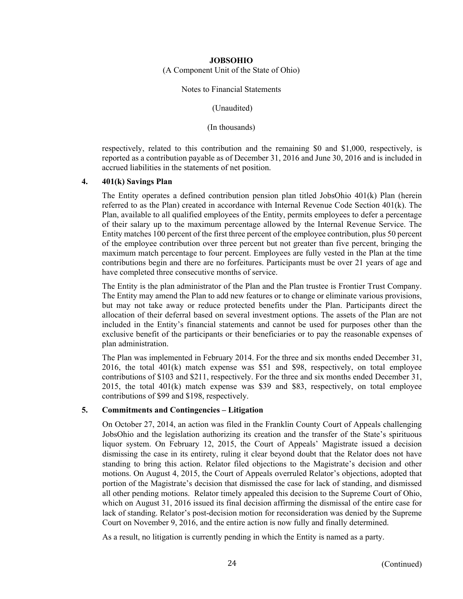(A Component Unit of the State of Ohio)

Notes to Financial Statements

(Unaudited)

(In thousands)

respectively, related to this contribution and the remaining \$0 and \$1,000, respectively, is reported as a contribution payable as of December 31, 2016 and June 30, 2016 and is included in accrued liabilities in the statements of net position.

## **4. 401(k) Savings Plan**

The Entity operates a defined contribution pension plan titled JobsOhio 401(k) Plan (herein referred to as the Plan) created in accordance with Internal Revenue Code Section 401(k). The Plan, available to all qualified employees of the Entity, permits employees to defer a percentage of their salary up to the maximum percentage allowed by the Internal Revenue Service. The Entity matches 100 percent of the first three percent of the employee contribution, plus 50 percent of the employee contribution over three percent but not greater than five percent, bringing the maximum match percentage to four percent. Employees are fully vested in the Plan at the time contributions begin and there are no forfeitures. Participants must be over 21 years of age and have completed three consecutive months of service.

The Entity is the plan administrator of the Plan and the Plan trustee is Frontier Trust Company. The Entity may amend the Plan to add new features or to change or eliminate various provisions, but may not take away or reduce protected benefits under the Plan. Participants direct the allocation of their deferral based on several investment options. The assets of the Plan are not included in the Entity's financial statements and cannot be used for purposes other than the exclusive benefit of the participants or their beneficiaries or to pay the reasonable expenses of plan administration.

The Plan was implemented in February 2014. For the three and six months ended December 31, 2016, the total 401(k) match expense was \$51 and \$98, respectively, on total employee contributions of \$103 and \$211, respectively. For the three and six months ended December 31, 2015, the total 401(k) match expense was \$39 and \$83, respectively, on total employee contributions of \$99 and \$198, respectively.

## **5. Commitments and Contingencies – Litigation**

On October 27, 2014, an action was filed in the Franklin County Court of Appeals challenging JobsOhio and the legislation authorizing its creation and the transfer of the State's spirituous liquor system. On February 12, 2015, the Court of Appeals' Magistrate issued a decision dismissing the case in its entirety, ruling it clear beyond doubt that the Relator does not have standing to bring this action. Relator filed objections to the Magistrate's decision and other motions. On August 4, 2015, the Court of Appeals overruled Relator's objections, adopted that portion of the Magistrate's decision that dismissed the case for lack of standing, and dismissed all other pending motions. Relator timely appealed this decision to the Supreme Court of Ohio, which on August 31, 2016 issued its final decision affirming the dismissal of the entire case for lack of standing. Relator's post-decision motion for reconsideration was denied by the Supreme Court on November 9, 2016, and the entire action is now fully and finally determined.

As a result, no litigation is currently pending in which the Entity is named as a party.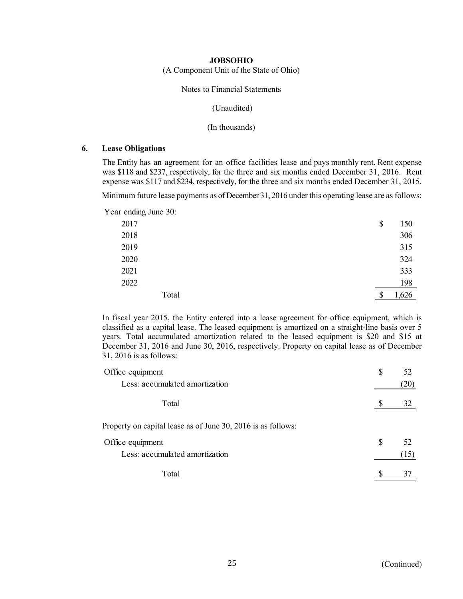(A Component Unit of the State of Ohio)

Notes to Financial Statements

(Unaudited)

(In thousands)

## **6. Lease Obligations**

The Entity has an agreement for an office facilities lease and pays monthly rent. Rent expense was \$118 and \$237, respectively, for the three and six months ended December 31, 2016. Rent expense was \$117 and \$234, respectively, for the three and six months ended December 31, 2015.

Minimum future lease payments as of December 31, 2016 under this operating lease are as follows:

Year ending June 30:

| 2017 |       | \$<br>150   |
|------|-------|-------------|
| 2018 |       | 306         |
| 2019 |       | 315         |
| 2020 |       | 324         |
| 2021 |       | 333         |
| 2022 |       | 198         |
|      | Total | \$<br>1,626 |

In fiscal year 2015, the Entity entered into a lease agreement for office equipment, which is classified as a capital lease. The leased equipment is amortized on a straight-line basis over 5 years. Total accumulated amortization related to the leased equipment is \$20 and \$15 at December 31, 2016 and June 30, 2016, respectively. Property on capital lease as of December 31, 2016 is as follows:

| Office equipment                                             | \$<br>52 |
|--------------------------------------------------------------|----------|
| Less: accumulated amortization                               | (20)     |
| Total                                                        | 32       |
| Property on capital lease as of June 30, 2016 is as follows: |          |
| Office equipment                                             | \$<br>52 |
| Less: accumulated amortization                               | (15)     |
| Total                                                        |          |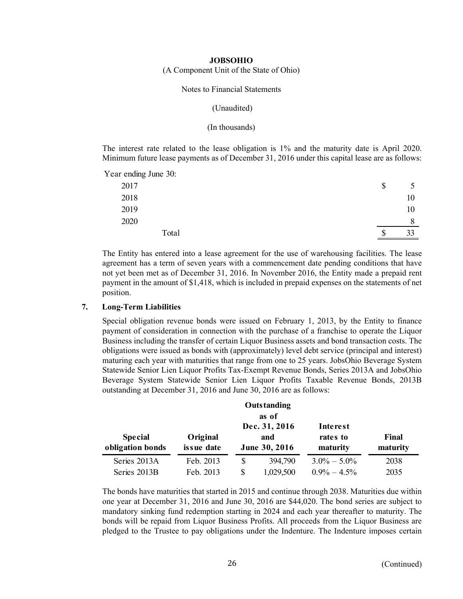(A Component Unit of the State of Ohio)

#### Notes to Financial Statements

#### (Unaudited)

#### (In thousands)

The interest rate related to the lease obligation is 1% and the maturity date is April 2020. Minimum future lease payments as of December 31, 2016 under this capital lease are as follows:

Year ending June 30:

| _<br>2017 | \$ |    |
|-----------|----|----|
| 2018      |    | 10 |
| 2019      |    | 10 |
| 2020      |    |    |
| Total     | w  | 33 |

The Entity has entered into a lease agreement for the use of warehousing facilities. The lease agreement has a term of seven years with a commencement date pending conditions that have not yet been met as of December 31, 2016. In November 2016, the Entity made a prepaid rent payment in the amount of \$1,418, which is included in prepaid expenses on the statements of net position.

#### **7. Long-Term Liabilities**

Special obligation revenue bonds were issued on February 1, 2013, by the Entity to finance payment of consideration in connection with the purchase of a franchise to operate the Liquor Business including the transfer of certain Liquor Business assets and bond transaction costs. The obligations were issued as bonds with (approximately) level debt service (principal and interest) maturing each year with maturities that range from one to 25 years. JobsOhio Beverage System Statewide Senior Lien Liquor Profits Tax-Exempt Revenue Bonds, Series 2013A and JobsOhio Beverage System Statewide Senior Lien Liquor Profits Taxable Revenue Bonds, 2013B outstanding at December 31, 2016 and June 30, 2016 are as follows:

|                                    |                        |    | Outstanding                           |                                         |                   |
|------------------------------------|------------------------|----|---------------------------------------|-----------------------------------------|-------------------|
|                                    |                        |    | as of                                 |                                         |                   |
| <b>Special</b><br>obligation bonds | Original<br>issue date |    | Dec. 31, 2016<br>and<br>June 30, 2016 | <b>Interest</b><br>rates to<br>maturity | Final<br>maturity |
| Series 2013A                       | Feb. 2013              | \$ | 394,790                               | $3.0\% - 5.0\%$                         | 2038              |
| Series 2013B                       | Feb. 2013              | S  | 1,029,500                             | $0.9\% - 4.5\%$                         | 2035              |

The bonds have maturities that started in 2015 and continue through 2038. Maturities due within one year at December 31, 2016 and June 30, 2016 are \$44,020. The bond series are subject to mandatory sinking fund redemption starting in 2024 and each year thereafter to maturity. The bonds will be repaid from Liquor Business Profits. All proceeds from the Liquor Business are pledged to the Trustee to pay obligations under the Indenture. The Indenture imposes certain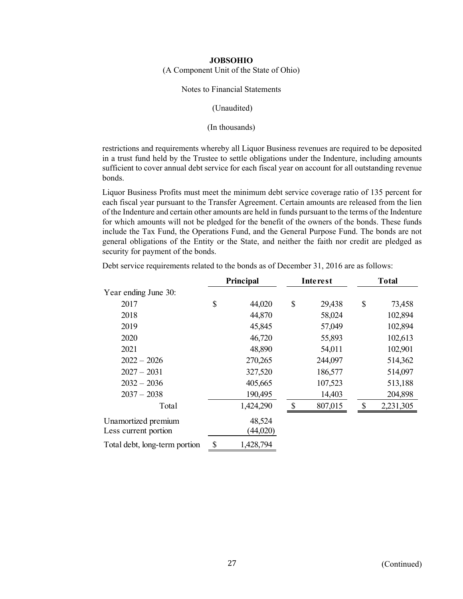(A Component Unit of the State of Ohio)

## Notes to Financial Statements

## (Unaudited)

## (In thousands)

restrictions and requirements whereby all Liquor Business revenues are required to be deposited in a trust fund held by the Trustee to settle obligations under the Indenture, including amounts sufficient to cover annual debt service for each fiscal year on account for all outstanding revenue bonds.

Liquor Business Profits must meet the minimum debt service coverage ratio of 135 percent for each fiscal year pursuant to the Transfer Agreement. Certain amounts are released from the lien of the Indenture and certain other amounts are held in funds pursuant to the terms of the Indenture for which amounts will not be pledged for the benefit of the owners of the bonds. These funds include the Tax Fund, the Operations Fund, and the General Purpose Fund. The bonds are not general obligations of the Entity or the State, and neither the faith nor credit are pledged as security for payment of the bonds.

|                                             | Principal |                    |               | Interest | <b>Total</b> |           |  |  |
|---------------------------------------------|-----------|--------------------|---------------|----------|--------------|-----------|--|--|
| Year ending June 30:                        |           |                    |               |          |              |           |  |  |
| 2017                                        | \$        | 44,020             | $\mathcal{S}$ | 29,438   | \$           | 73,458    |  |  |
| 2018                                        |           | 44,870             |               | 58,024   |              | 102,894   |  |  |
| 2019                                        |           | 45,845             |               | 57,049   |              | 102,894   |  |  |
| 2020                                        |           | 46,720             |               | 55,893   |              | 102,613   |  |  |
| 2021                                        |           | 48,890             |               | 54,011   |              | 102,901   |  |  |
| $2022 - 2026$                               |           | 270,265            |               | 244,097  |              | 514,362   |  |  |
| $2027 - 2031$                               |           | 327,520            |               | 186,577  |              | 514,097   |  |  |
| $2032 - 2036$                               |           | 405,665            |               | 107,523  |              | 513,188   |  |  |
| $2037 - 2038$                               |           | 190,495            |               | 14,403   |              | 204,898   |  |  |
| Total                                       |           | 1,424,290          |               | 807,015  | \$           | 2,231,305 |  |  |
| Unamortized premium<br>Less current portion |           | 48,524<br>(44,020) |               |          |              |           |  |  |
| Total debt, long-term portion               | \$        | 1,428,794          |               |          |              |           |  |  |

Debt service requirements related to the bonds as of December 31, 2016 are as follows: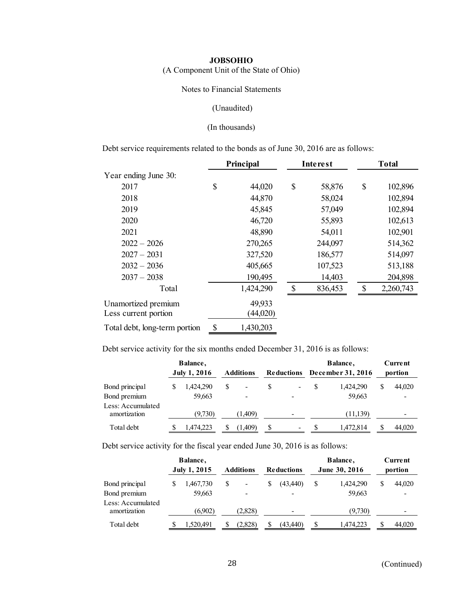(A Component Unit of the State of Ohio)

Notes to Financial Statements

#### (Unaudited)

## (In thousands)

Debt service requirements related to the bonds as of June 30, 2016 are as follows:

|                               | Principal |           | Interest     | <b>Total</b> |           |  |
|-------------------------------|-----------|-----------|--------------|--------------|-----------|--|
| Year ending June 30:          |           |           |              |              |           |  |
| 2017                          | \$        | 44,020    | \$<br>58,876 | \$           | 102,896   |  |
| 2018                          |           | 44,870    | 58,024       |              | 102,894   |  |
| 2019                          |           | 45,845    | 57,049       |              | 102,894   |  |
| 2020                          |           | 46,720    | 55,893       |              | 102,613   |  |
| 2021                          |           | 48,890    | 54,011       |              | 102,901   |  |
| $2022 - 2026$                 |           | 270,265   | 244,097      |              | 514,362   |  |
| $2027 - 2031$                 |           | 327,520   | 186,577      |              | 514,097   |  |
| $2032 - 2036$                 |           | 405,665   | 107,523      |              | 513,188   |  |
| $2037 - 2038$                 |           | 190,495   | 14,403       |              | 204,898   |  |
| Total                         |           | 1,424,290 | 836,453      | $\mathbb{S}$ | 2,260,743 |  |
| Unamortized premium           |           | 49,933    |              |              |           |  |
| Less current portion          |           | (44,020)  |              |              |           |  |
| Total debt, long-term portion | \$        | 1,430,203 |              |              |           |  |

Debt service activity for the six months ended December 31, 2016 is as follows:

|                                   | Balance,            |   |                  |    |                          |   | Balance,          |         | Current |  |
|-----------------------------------|---------------------|---|------------------|----|--------------------------|---|-------------------|---------|---------|--|
|                                   | <b>July 1, 2016</b> |   | <b>Additions</b> |    | <b>Reductions</b>        |   | December 31, 2016 | portion |         |  |
| Bond principal                    | 1,424,290           | S | -                | S  | $\overline{\phantom{a}}$ | S | 1.424.290         | \$      | 44,020  |  |
| Bond premium                      | 59,663              |   |                  |    |                          |   | 59,663            |         |         |  |
| Less: Accumulated<br>amortization | (9,730)             |   | (1,409)          |    | -                        |   | (11, 139)         |         | -       |  |
| Total debt                        | 1,474,223           |   | (1,409)          | \$ | $\overline{\phantom{a}}$ |   | 1,472,814         |         | 44,020  |  |

Debt service activity for the fiscal year ended June 30, 2016 is as follows:

|                                   | Balance,     |   |                  |                   |               | Balance,  |         | Current                  |  |
|-----------------------------------|--------------|---|------------------|-------------------|---------------|-----------|---------|--------------------------|--|
|                                   | July 1, 2015 |   | <b>Additions</b> | <b>Reductions</b> | June 30, 2016 |           | portion |                          |  |
| Bond principal                    | 1,467,730    | S | -                | (43, 440)         | \$            | 1.424.290 | \$      | 44,020                   |  |
| Bond premium                      | 59,663       |   |                  |                   |               | 59,663    |         |                          |  |
| Less: Accumulated<br>amortization | (6.902)      |   | (2,828)          | -                 |               | (9,730)   |         | $\overline{\phantom{0}}$ |  |
| Total debt                        | 1.520.491    |   | (2.828)          | (43.440)          | S             | 1.474.223 | S       | 44,020                   |  |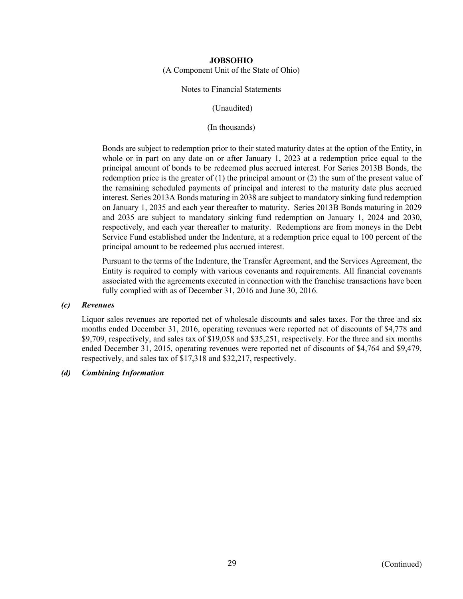(A Component Unit of the State of Ohio)

## Notes to Financial Statements

(Unaudited)

(In thousands)

Bonds are subject to redemption prior to their stated maturity dates at the option of the Entity, in whole or in part on any date on or after January 1, 2023 at a redemption price equal to the principal amount of bonds to be redeemed plus accrued interest. For Series 2013B Bonds, the redemption price is the greater of (1) the principal amount or (2) the sum of the present value of the remaining scheduled payments of principal and interest to the maturity date plus accrued interest. Series 2013A Bonds maturing in 2038 are subject to mandatory sinking fund redemption on January 1, 2035 and each year thereafter to maturity. Series 2013B Bonds maturing in 2029 and 2035 are subject to mandatory sinking fund redemption on January 1, 2024 and 2030, respectively, and each year thereafter to maturity. Redemptions are from moneys in the Debt Service Fund established under the Indenture, at a redemption price equal to 100 percent of the principal amount to be redeemed plus accrued interest.

Pursuant to the terms of the Indenture, the Transfer Agreement, and the Services Agreement, the Entity is required to comply with various covenants and requirements. All financial covenants associated with the agreements executed in connection with the franchise transactions have been fully complied with as of December 31, 2016 and June 30, 2016.

## *(c) Revenues*

Liquor sales revenues are reported net of wholesale discounts and sales taxes. For the three and six months ended December 31, 2016, operating revenues were reported net of discounts of \$4,778 and \$9,709, respectively, and sales tax of \$19,058 and \$35,251, respectively. For the three and six months ended December 31, 2015, operating revenues were reported net of discounts of \$4,764 and \$9,479, respectively, and sales tax of \$17,318 and \$32,217, respectively.

## *(d) Combining Information*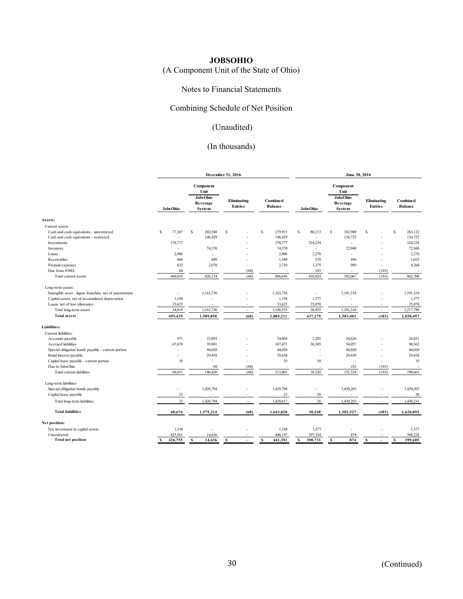# (A Component Unit of the State of Ohio)

## Notes to Financial Statements

## Combining Schedule of Net Position

# (Unaudited)

|                                                          |                          |                                                                                                            | December 31, 2016 |                                   | June 30, 2016   |                                                                   |                               |                            |  |
|----------------------------------------------------------|--------------------------|------------------------------------------------------------------------------------------------------------|-------------------|-----------------------------------|-----------------|-------------------------------------------------------------------|-------------------------------|----------------------------|--|
|                                                          | <b>Jobs Ohio</b>         | <b>Component</b><br>Unit<br><b>Jobs Ohio</b><br>Eliminating<br>Beverage<br><b>Entries</b><br><b>System</b> |                   | <b>Combined</b><br><b>Balance</b> | <b>JobsOhio</b> | Component<br>Unit<br><b>JobsOhio</b><br><b>Beverage</b><br>System | Eliminating<br><b>Entries</b> | Combined<br><b>Balance</b> |  |
| Assets:                                                  |                          |                                                                                                            |                   |                                   |                 |                                                                   |                               |                            |  |
| Current assets:                                          |                          |                                                                                                            |                   |                                   |                 |                                                                   |                               |                            |  |
| Cash and cash equivalents - unrestricted                 | \$<br>77,367             | s<br>202,548                                                                                               | \$.               | s<br>279,915                      | s<br>80,213     | s<br>182,909                                                      | S                             | S<br>263,122               |  |
| Cash and cash equivalents - restricted                   |                          | 146,429                                                                                                    |                   | 146,429                           |                 | 134,725                                                           |                               | 134,725                    |  |
| Investments                                              | 378,777                  | $\sim$                                                                                                     |                   | 378,777                           | 324,254         | ÷.                                                                |                               | 324,254                    |  |
| Inventory                                                |                          | 74,370                                                                                                     |                   | 74,370                            |                 | 72,948                                                            |                               | 72,948                     |  |
| Loans                                                    | 2,906                    | ÷.                                                                                                         |                   | 2,906                             | 2,270           | $\sim$                                                            |                               | 2,270                      |  |
| Receivables                                              | 860                      | 689                                                                                                        | ä,                | 1,549                             | 529             | 496                                                               | ÷.                            | 1,025                      |  |
|                                                          | 632                      | 2,078                                                                                                      | ÷,                | 2,710                             | 3,375           | 989                                                               | ٠                             | 4,364                      |  |
| Prepaid expenses                                         |                          |                                                                                                            |                   |                                   |                 |                                                                   |                               |                            |  |
| Due from JOBS                                            | 68                       | $\sim$                                                                                                     | (68)              |                                   | 183             | $\overline{\phantom{a}}$                                          | (183)                         |                            |  |
| Total current assets                                     | 460,610                  | 426,114                                                                                                    | (68)              | 886,656                           | 410,824         | 392,067                                                           | (183)                         | 802,708                    |  |
| Long-term assets:                                        |                          |                                                                                                            |                   |                                   |                 |                                                                   |                               |                            |  |
| Intangible asset - liquor franchise, net of amortization | $\overline{\phantom{a}}$ | 1,163,736                                                                                                  |                   | 1,163,736                         | $\sim$          | 1,191,334                                                         |                               | 1,191,334                  |  |
| Capital assets, net of accumulated depreciation          | 1,194                    |                                                                                                            |                   | 1,194                             | 1,377           |                                                                   |                               | 1,377                      |  |
| Loans, net of loss allowance                             | 33,625                   |                                                                                                            |                   | 33,625                            | 25,078          | ×,                                                                |                               | 25,078                     |  |
| Total long-term assets                                   | 34,819                   | 1,163,736                                                                                                  | ÷.                | 1,198,555                         | 26,455          | 1,191,334                                                         | ٠                             | 1,217,789                  |  |
| <b>Total assets</b>                                      | 495,429                  | 1,589,850                                                                                                  | (68)              | 2,085,211                         | 437,279         | 1,583,401                                                         | (183)                         | 2,020,497                  |  |
| <b>Liabilities:</b>                                      |                          |                                                                                                            |                   |                                   |                 |                                                                   |                               |                            |  |
| Current liabilities:                                     |                          |                                                                                                            |                   |                                   |                 |                                                                   |                               |                            |  |
|                                                          | 971                      |                                                                                                            |                   |                                   |                 |                                                                   |                               |                            |  |
| Accounts payable                                         |                          | 33,093                                                                                                     |                   | 34,064                            | 2,205           | 24,626                                                            |                               | 26,831                     |  |
| Accrued liabilities                                      | 67,670                   | 39,801                                                                                                     |                   | 107,471                           | 36,305          | 54,057                                                            |                               | 90,362                     |  |
| Special obligation bonds payable - current portion       |                          | 44,020                                                                                                     |                   | 44,020                            |                 | 44,020                                                            |                               | 44,020                     |  |
| Bond interest payable                                    | $\overline{a}$           | 29,438                                                                                                     |                   | 29,438                            |                 | 29,438                                                            | ÷.                            | 29,438                     |  |
| Capital lease payable - current portion                  | 10                       | $\sim$                                                                                                     | ÷.                | 10                                | $10\,$          |                                                                   | ٠                             | 10                         |  |
| Due to JobsOhio                                          |                          | 68                                                                                                         | (68)              |                                   |                 | 183                                                               | (183)                         | ÷,                         |  |
| Total current liabilities                                | 68,651                   | 146,420                                                                                                    | (68)              | 215,003                           | 38,520          | 152,324                                                           | (183)                         | 190,661                    |  |
| Long-term liabilities:                                   |                          |                                                                                                            |                   |                                   |                 |                                                                   |                               |                            |  |
| Special obligation bonds payable                         | $\overline{a}$           | 1,428,794                                                                                                  |                   | 1,428,794                         |                 | 1,430,203                                                         |                               | 1,430,203                  |  |
| Capital lease payable                                    | 23                       |                                                                                                            | ٠                 | 23                                | 28              |                                                                   | ÷                             | 28                         |  |
| Total long-term liabilities                              | 23                       | 1,428,794                                                                                                  |                   | 1,428,817                         | 28              | 1,430,203                                                         |                               | 1,430,231                  |  |
| <b>Total liabilities</b>                                 | 68,674                   | 1,575,214                                                                                                  | (68)              | 1,643,820                         | 38,548          | 1,582,527                                                         | (183)                         | 1,620,892                  |  |
| Net position:                                            |                          |                                                                                                            |                   |                                   |                 |                                                                   |                               |                            |  |
| Net investment in capital assets                         | 1,194                    |                                                                                                            |                   | 1,194                             | 1,377           |                                                                   |                               | 1,377                      |  |
| Unrestricted                                             | 425.561                  | 14,636                                                                                                     |                   | 440.197                           | 397,354         |                                                                   |                               | 398,228                    |  |
| <b>Total net position</b>                                | 426,755<br>s             | s<br>14,636                                                                                                | s<br>$\sim$       | s<br>441,391                      | 398,731<br>s    | 874<br>874<br>s                                                   | s<br>$\sim$                   | s<br>399,605               |  |
|                                                          |                          |                                                                                                            |                   |                                   |                 |                                                                   |                               |                            |  |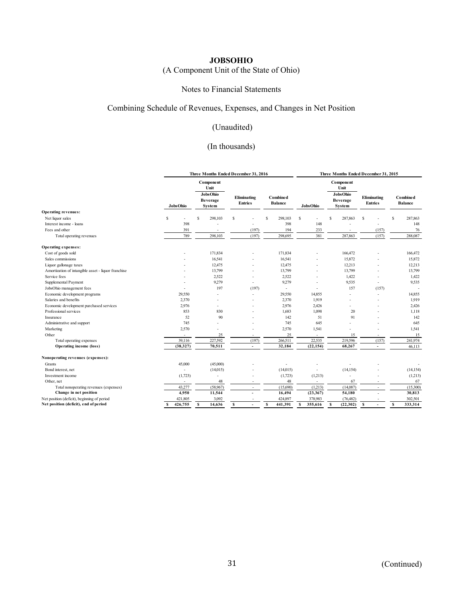# (A Component Unit of the State of Ohio)

## Notes to Financial Statements

## Combining Schedule of Revenues, Expenses, and Changes in Net Position

# (Unaudited)

|                                                     |                          | Three Months Ended December 31, 2016 |                               |                               |        |                                   |          |                 | Three Months Ended December 31, 2015 |                           |                                      |                               |        |                                   |           |
|-----------------------------------------------------|--------------------------|--------------------------------------|-------------------------------|-------------------------------|--------|-----------------------------------|----------|-----------------|--------------------------------------|---------------------------|--------------------------------------|-------------------------------|--------|-----------------------------------|-----------|
|                                                     |                          |                                      | Component<br>Unit<br>JobsOhio |                               |        |                                   |          |                 |                                      |                           | Component<br>Unit<br><b>JobsOhio</b> |                               |        |                                   |           |
|                                                     | <b>JobsOhio</b>          |                                      | <b>Beverage</b><br>System     | Eliminating<br><b>Entries</b> |        | <b>Combined</b><br><b>Balance</b> |          | <b>JobsOhio</b> |                                      | <b>Beverage</b><br>System |                                      | Eliminating<br><b>Entries</b> |        | <b>Combined</b><br><b>Balance</b> |           |
| Operating revenues:                                 |                          |                                      |                               |                               |        |                                   |          |                 |                                      |                           |                                      |                               |        |                                   |           |
| Net liquor sales                                    | s                        |                                      | 298,103<br>S                  | \$                            |        | S                                 | 298,103  | <sup>S</sup>    |                                      | S                         | 287,863                              | -S                            |        | s                                 | 287,863   |
| Interest income - loans                             | 398                      |                                      |                               |                               |        |                                   | 398      |                 | 148                                  |                           |                                      |                               |        |                                   | 148       |
| Fees and other                                      | 391                      |                                      |                               |                               | (197)  |                                   | 194      |                 | 233                                  |                           |                                      |                               | (157)  |                                   | 76        |
| Total operating revenues                            | 789                      |                                      | 298,103                       |                               | (197)  |                                   | 298,695  |                 | 381                                  |                           | 287,863                              |                               | (157)  |                                   | 288,087   |
| Operating expenses:                                 |                          |                                      |                               |                               |        |                                   |          |                 |                                      |                           |                                      |                               |        |                                   |           |
| Cost of goods sold                                  |                          |                                      | 171,834                       |                               |        |                                   | 171,834  |                 |                                      |                           | 166,472                              |                               |        |                                   | 166,472   |
| Sales commissions                                   |                          |                                      | 16,541                        |                               |        |                                   | 16,541   |                 |                                      |                           | 15,872                               |                               |        |                                   | 15,872    |
| Liquor gallonage taxes                              |                          |                                      | 12,475                        |                               |        |                                   | 12,475   |                 |                                      |                           | 12,213                               |                               |        |                                   | 12,213    |
| Amortization of intangible asset - liquor franchise |                          |                                      | 13,799                        |                               |        |                                   | 13,799   |                 |                                      |                           | 13,799                               |                               |        |                                   | 13,799    |
| Service fees                                        |                          |                                      | 2,522                         |                               |        |                                   | 2,522    |                 |                                      |                           | 1,422                                |                               |        |                                   | 1,422     |
| Supplemental Payment                                |                          |                                      | 9,279                         |                               |        |                                   | 9,279    |                 |                                      |                           | 9,535                                |                               |        |                                   | 9,535     |
| JobsOhio management fees                            |                          |                                      | 197                           |                               | (197)  |                                   |          |                 |                                      |                           | 157                                  |                               | (157)  |                                   |           |
| Economic development programs                       | 29,550                   |                                      |                               |                               |        |                                   | 29,550   |                 | 14,855                               |                           |                                      |                               |        |                                   | 14,855    |
| Salaries and benefits                               | 2,370                    |                                      |                               |                               |        |                                   | 2,370    |                 | 1,919                                |                           |                                      |                               |        |                                   | 1,919     |
| Economic development purchased services             | 2,976                    |                                      |                               |                               |        |                                   | 2,976    |                 | 2,426                                |                           |                                      |                               |        |                                   | 2,426     |
| Professional services                               | 853                      |                                      | 830                           |                               |        |                                   | 1,683    |                 | 1,098                                |                           | 20                                   |                               |        |                                   | 1,118     |
| Insurance                                           |                          | 52                                   | 90                            |                               |        |                                   | 142      |                 | 51                                   |                           | 91                                   |                               |        |                                   | 142       |
| Administrative and support                          | 745                      |                                      |                               |                               |        |                                   | 745      |                 | 645                                  |                           |                                      |                               |        |                                   | 645       |
| Marketing                                           | 2,570                    |                                      |                               |                               |        |                                   | 2,570    |                 | 1,541                                |                           |                                      |                               |        |                                   | 1,541     |
| Other                                               | $\sim$                   |                                      | 25                            |                               |        |                                   | 25       |                 | $\sim$                               |                           | 15                                   |                               |        |                                   | 15        |
| Total operating expenses                            | 39,116                   |                                      | 227,592                       |                               | (197)  |                                   | 266,511  |                 | 22,535                               |                           | 219,596                              |                               | (157)  |                                   | 241,974   |
| Operating income (loss)                             | (38, 327)                |                                      | 70,511                        |                               | $\sim$ |                                   | 32,184   |                 | (22, 154)                            |                           | 68,267                               |                               | $\sim$ |                                   | 46,113    |
| Nonoperating revenues (expenses):                   |                          |                                      |                               |                               |        |                                   |          |                 |                                      |                           |                                      |                               |        |                                   |           |
| Grants                                              | 45,000                   |                                      | (45,000)                      |                               |        |                                   |          |                 |                                      |                           |                                      |                               |        |                                   |           |
| Bond interest, net                                  | $\overline{\phantom{a}}$ |                                      | (14,015)                      |                               |        |                                   | (14,015) |                 |                                      |                           | (14, 154)                            |                               |        |                                   | (14, 154) |
| Investment income                                   | (1,723)                  |                                      |                               |                               |        |                                   | (1,723)  |                 | (1,213)                              |                           |                                      |                               |        |                                   | (1,213)   |
| Other, net                                          |                          |                                      | 48                            |                               |        |                                   | 48       |                 |                                      |                           | 67                                   |                               |        |                                   | 67        |
| Total nonoperating revenues (expenses)              | 43,277                   |                                      | (58,967)                      |                               | $\sim$ |                                   | (15,690) |                 | (1,213)                              |                           | (14,087)                             |                               | $\sim$ |                                   | (15,300)  |
| Change in net position                              | 4,950                    |                                      | 11,544                        |                               |        |                                   | 16,494   |                 | (23, 367)                            |                           | 54,180                               |                               |        |                                   | 30,813    |
| Net position (deficit), beginning of period         | 421,805                  |                                      | 3,092                         |                               |        |                                   | 424,897  |                 | 378,983                              |                           | (76, 482)                            |                               |        |                                   | 302,501   |
| Net position (deficit), end of period               | 426,755<br>s             |                                      | 14.636<br>s                   | s                             |        | s                                 | 441,391  | s               | 355,616                              | s                         | (22,302)                             | s                             |        | s                                 | 333,314   |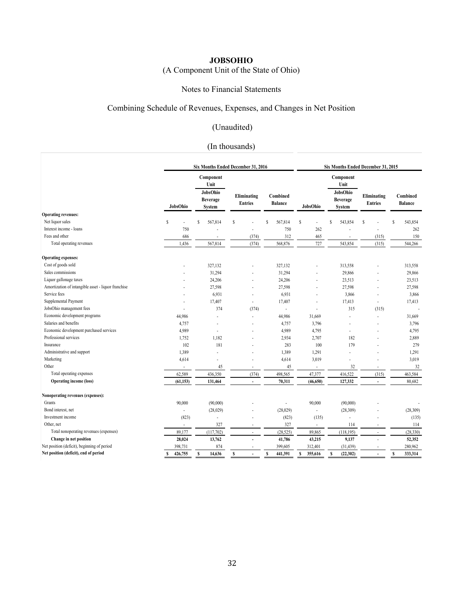# (A Component Unit of the State of Ohio)

## Notes to Financial Statements

## Combining Schedule of Revenues, Expenses, and Changes in Net Position

# (Unaudited)

| Component<br>Component<br>Unit<br>Unit<br>JobsOhio<br>JobsOhio<br>Eliminating<br>Combined<br>Eliminating<br><b>Beverage</b><br><b>Beverage</b><br><b>Entries</b><br><b>Balance</b><br><b>Entries</b><br>JobsOhio<br>JobsOhio<br><b>System</b><br><b>System</b><br><b>Operating revenues:</b><br>Net liquor sales<br>S<br>567,814<br>567,814<br>543,854<br>S<br>\$.<br>S<br>S<br>S<br>S<br>Interest income - loans<br>750<br>262<br>750<br>Fees and other<br>312<br>465<br>686<br>(374)<br>(315)<br>Total operating revenues<br>(374)<br>568,876<br>727<br>1,436<br>567,814<br>543,854<br>(315)<br><b>Operating expenses:</b><br>Cost of goods sold<br>327,132<br>327,132<br>313,558<br>Sales commissions<br>29,866<br>31,294<br>31,294 |                            |  |
|----------------------------------------------------------------------------------------------------------------------------------------------------------------------------------------------------------------------------------------------------------------------------------------------------------------------------------------------------------------------------------------------------------------------------------------------------------------------------------------------------------------------------------------------------------------------------------------------------------------------------------------------------------------------------------------------------------------------------------------|----------------------------|--|
|                                                                                                                                                                                                                                                                                                                                                                                                                                                                                                                                                                                                                                                                                                                                        | Combined<br><b>Balance</b> |  |
|                                                                                                                                                                                                                                                                                                                                                                                                                                                                                                                                                                                                                                                                                                                                        |                            |  |
|                                                                                                                                                                                                                                                                                                                                                                                                                                                                                                                                                                                                                                                                                                                                        | 543,854<br>S               |  |
|                                                                                                                                                                                                                                                                                                                                                                                                                                                                                                                                                                                                                                                                                                                                        | 262                        |  |
|                                                                                                                                                                                                                                                                                                                                                                                                                                                                                                                                                                                                                                                                                                                                        | 150                        |  |
|                                                                                                                                                                                                                                                                                                                                                                                                                                                                                                                                                                                                                                                                                                                                        | 544,266                    |  |
|                                                                                                                                                                                                                                                                                                                                                                                                                                                                                                                                                                                                                                                                                                                                        |                            |  |
|                                                                                                                                                                                                                                                                                                                                                                                                                                                                                                                                                                                                                                                                                                                                        | 313,558                    |  |
|                                                                                                                                                                                                                                                                                                                                                                                                                                                                                                                                                                                                                                                                                                                                        | 29,866                     |  |
| Liquor gallonage taxes<br>24,206<br>24,206<br>23,513                                                                                                                                                                                                                                                                                                                                                                                                                                                                                                                                                                                                                                                                                   | 23,513                     |  |
| Amortization of intangible asset - liquor franchise<br>27,598<br>27,598<br>27,598                                                                                                                                                                                                                                                                                                                                                                                                                                                                                                                                                                                                                                                      | 27,598                     |  |
| Service fees<br>6,931<br>6,931<br>3,866                                                                                                                                                                                                                                                                                                                                                                                                                                                                                                                                                                                                                                                                                                | 3,866                      |  |
| Supplemental Payment<br>17,407<br>17,407<br>17,413                                                                                                                                                                                                                                                                                                                                                                                                                                                                                                                                                                                                                                                                                     | 17,413                     |  |
| JobsOhio management fees<br>374<br>315<br>(374)<br>(315)<br>ä,                                                                                                                                                                                                                                                                                                                                                                                                                                                                                                                                                                                                                                                                         |                            |  |
| Economic development programs<br>44,986<br>44,986<br>31,669                                                                                                                                                                                                                                                                                                                                                                                                                                                                                                                                                                                                                                                                            | 31,669                     |  |
| Salaries and benefits<br>4,757<br>3,796<br>4,757                                                                                                                                                                                                                                                                                                                                                                                                                                                                                                                                                                                                                                                                                       | 3,796                      |  |
| Economic development purchased services<br>4,989<br>4,989<br>4,795                                                                                                                                                                                                                                                                                                                                                                                                                                                                                                                                                                                                                                                                     | 4,795                      |  |
| Professional services<br>1,752<br>1,182<br>2,934<br>2,707<br>182                                                                                                                                                                                                                                                                                                                                                                                                                                                                                                                                                                                                                                                                       | 2,889                      |  |
| 102<br>Insurance<br>181<br>283<br>100<br>179                                                                                                                                                                                                                                                                                                                                                                                                                                                                                                                                                                                                                                                                                           | 279                        |  |
| Administrative and support<br>1,389<br>1,389<br>1,291                                                                                                                                                                                                                                                                                                                                                                                                                                                                                                                                                                                                                                                                                  | 1,291                      |  |
| Marketing<br>4,614<br>4,614<br>3,019<br>×,<br>ä,                                                                                                                                                                                                                                                                                                                                                                                                                                                                                                                                                                                                                                                                                       | 3,019                      |  |
| Other<br>45<br>45<br>32<br>÷<br>÷.<br>÷.<br>×.                                                                                                                                                                                                                                                                                                                                                                                                                                                                                                                                                                                                                                                                                         | 32                         |  |
| Total operating expenses<br>416,522<br>62,589<br>436,350<br>(374)<br>498,565<br>47,377<br>(315)                                                                                                                                                                                                                                                                                                                                                                                                                                                                                                                                                                                                                                        | 463,584                    |  |
| <b>Operating income (loss)</b><br>70,311<br>127,332<br>(61, 153)<br>131,464<br>(46, 650)<br>÷,<br>÷.                                                                                                                                                                                                                                                                                                                                                                                                                                                                                                                                                                                                                                   | 80,682                     |  |
| Nonoperating revenues (expenses):                                                                                                                                                                                                                                                                                                                                                                                                                                                                                                                                                                                                                                                                                                      |                            |  |
| 90,000<br>Grants<br>(90,000)<br>90,000<br>(90,000)<br>٠                                                                                                                                                                                                                                                                                                                                                                                                                                                                                                                                                                                                                                                                                |                            |  |
| Bond interest, net<br>(28, 029)<br>(28,029)<br>(28, 309)<br>ä,<br>÷.                                                                                                                                                                                                                                                                                                                                                                                                                                                                                                                                                                                                                                                                   | (28,309)                   |  |
| Investment income<br>(823)<br>(823)<br>(135)<br>ä,                                                                                                                                                                                                                                                                                                                                                                                                                                                                                                                                                                                                                                                                                     | (135)                      |  |
| Other, net<br>327<br>327<br>114                                                                                                                                                                                                                                                                                                                                                                                                                                                                                                                                                                                                                                                                                                        | 114                        |  |
| Total nonoperating revenues (expenses)<br>89,177<br>(117,702)<br>(28, 525)<br>89,865<br>(118, 195)<br>ä,<br>ä,                                                                                                                                                                                                                                                                                                                                                                                                                                                                                                                                                                                                                         | (28, 330)                  |  |
| Change in net position<br>28,024<br>41,786<br>43,215<br>9,137<br>13,762<br>٠<br>$\overline{a}$                                                                                                                                                                                                                                                                                                                                                                                                                                                                                                                                                                                                                                         | 52,352                     |  |
| Net position (deficit), beginning of period<br>398,731<br>874<br>399,605<br>(31, 439)<br>312,401                                                                                                                                                                                                                                                                                                                                                                                                                                                                                                                                                                                                                                       | 280,962                    |  |
| Net position (deficit), end of period<br>426,755<br>14,636<br>441,391<br>(22,302)<br>s<br>355,616<br>\$<br>S<br>\$<br>S<br>s<br>$\blacksquare$                                                                                                                                                                                                                                                                                                                                                                                                                                                                                                                                                                                         | 333,314<br>S               |  |